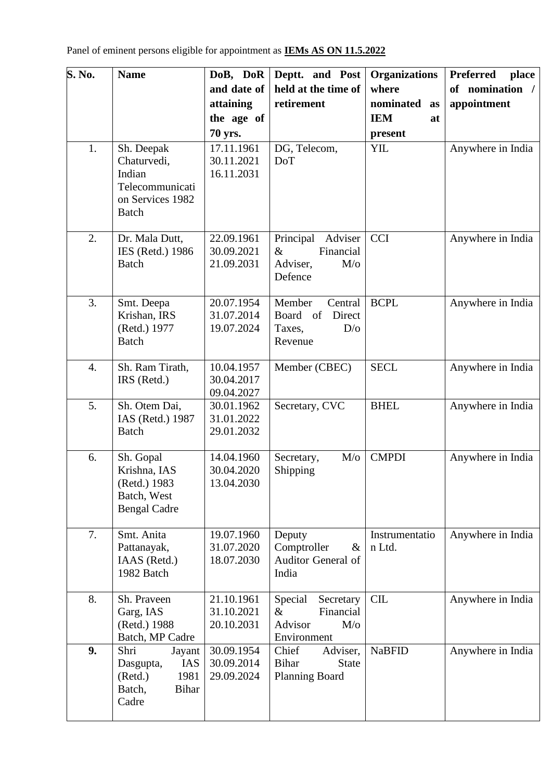| S. No. | <b>Name</b>                                                                                     | DoB, DoR                               | Deptt. and Post                                                                    | <b>Organizations</b>     | <b>Preferred</b><br>place |
|--------|-------------------------------------------------------------------------------------------------|----------------------------------------|------------------------------------------------------------------------------------|--------------------------|---------------------------|
|        |                                                                                                 | and date of                            | held at the time of                                                                | where                    | of nomination /           |
|        |                                                                                                 | attaining                              | retirement                                                                         | nominated<br>as          | appointment               |
|        |                                                                                                 | the age of                             |                                                                                    | <b>IEM</b><br>at         |                           |
|        |                                                                                                 | <b>70 yrs.</b>                         |                                                                                    | present                  |                           |
| 1.     | Sh. Deepak<br>Chaturvedi,<br>Indian<br>Telecommunicati<br>on Services 1982<br><b>Batch</b>      | 17.11.1961<br>30.11.2021<br>16.11.2031 | DG, Telecom,<br><b>DoT</b>                                                         | YIL                      | Anywhere in India         |
| 2.     | Dr. Mala Dutt,<br>IES (Retd.) 1986<br><b>Batch</b>                                              | 22.09.1961<br>30.09.2021<br>21.09.2031 | Principal<br>Adviser<br>$\&$<br>Financial<br>Adviser,<br>$M$ / $\sigma$<br>Defence | <b>CCI</b>               | Anywhere in India         |
| 3.     | Smt. Deepa<br>Krishan, IRS<br>(Retd.) 1977<br><b>Batch</b>                                      | 20.07.1954<br>31.07.2014<br>19.07.2024 | Member<br>Central<br>Direct<br>Board<br><sub>of</sub><br>D/O<br>Taxes,<br>Revenue  | <b>BCPL</b>              | Anywhere in India         |
| 4.     | Sh. Ram Tirath,<br>IRS (Retd.)                                                                  | 10.04.1957<br>30.04.2017<br>09.04.2027 | Member (CBEC)                                                                      | <b>SECL</b>              | Anywhere in India         |
| 5.     | Sh. Otem Dai,<br>IAS (Retd.) 1987<br><b>Batch</b>                                               | 30.01.1962<br>31.01.2022<br>29.01.2032 | Secretary, CVC                                                                     | <b>BHEL</b>              | Anywhere in India         |
| 6.     | Sh. Gopal<br>Krishna, IAS<br>(Retd.) 1983<br>Batch, West<br><b>Bengal Cadre</b>                 | 14.04.1960<br>30.04.2020<br>13.04.2030 | $M$ / $\sigma$<br>Secretary,<br>Shipping                                           | <b>CMPDI</b>             | Anywhere in India         |
| 7.     | Smt. Anita<br>Pattanayak,<br>IAAS (Retd.)<br>1982 Batch                                         | 19.07.1960<br>31.07.2020<br>18.07.2030 | Deputy<br>Comptroller<br>$\&$<br>Auditor General of<br>India                       | Instrumentatio<br>n Ltd. | Anywhere in India         |
| 8.     | Sh. Praveen<br>Garg, IAS<br>(Retd.) 1988<br>Batch, MP Cadre                                     | 21.10.1961<br>31.10.2021<br>20.10.2031 | Special<br>Secretary<br>Financial<br>$\&$<br>M/o<br>Advisor<br>Environment         | <b>CIL</b>               | Anywhere in India         |
| 9.     | Shri<br>Jayant<br><b>IAS</b><br>Dasgupta,<br>1981<br>(Retd.)<br>Batch,<br><b>Bihar</b><br>Cadre | 30.09.1954<br>30.09.2014<br>29.09.2024 | Chief<br>Adviser,<br>Bihar<br><b>State</b><br><b>Planning Board</b>                | <b>NaBFID</b>            | Anywhere in India         |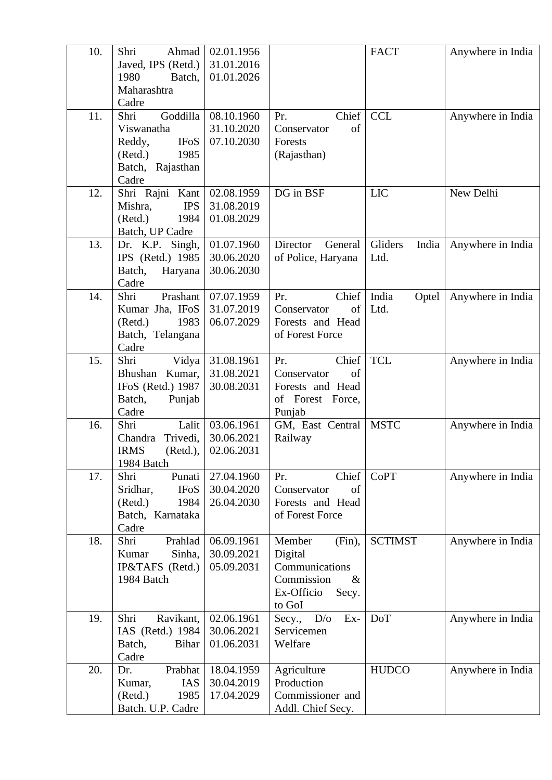| 10. | Shri<br>Ahmad             | 02.01.1956 |                                     | <b>FACT</b>      | Anywhere in India |
|-----|---------------------------|------------|-------------------------------------|------------------|-------------------|
|     | Javed, IPS (Retd.)        | 31.01.2016 |                                     |                  |                   |
|     | 1980<br>Batch,            | 01.01.2026 |                                     |                  |                   |
|     | Maharashtra               |            |                                     |                  |                   |
|     | Cadre                     |            |                                     |                  |                   |
| 11. | Shri<br>Goddilla          | 08.10.1960 | Chief<br>Pr.                        | <b>CCL</b>       | Anywhere in India |
|     | Viswanatha                | 31.10.2020 | of<br>Conservator                   |                  |                   |
|     | Reddy,<br><b>IFoS</b>     | 07.10.2030 | Forests                             |                  |                   |
|     | 1985<br>(Retd.)           |            | (Rajasthan)                         |                  |                   |
|     | Batch, Rajasthan          |            |                                     |                  |                   |
|     | Cadre                     |            |                                     |                  |                   |
| 12. | Shri Rajni Kant           | 02.08.1959 | DG in BSF                           | <b>LIC</b>       | New Delhi         |
|     | Mishra,<br><b>IPS</b>     | 31.08.2019 |                                     |                  |                   |
|     | (Retd.)<br>1984           | 01.08.2029 |                                     |                  |                   |
|     | Batch, UP Cadre           |            |                                     |                  |                   |
| 13. | Dr. K.P. Singh,           | 01.07.1960 | Director<br>General                 | Gliders<br>India | Anywhere in India |
|     | IPS (Retd.) 1985          | 30.06.2020 | of Police, Haryana                  | Ltd.             |                   |
|     | Batch,<br>Haryana         | 30.06.2030 |                                     |                  |                   |
|     | Cadre                     |            |                                     |                  |                   |
| 14. | Shri<br>Prashant          | 07.07.1959 | Chief<br>Pr.                        | India<br>Optel   | Anywhere in India |
|     | Kumar Jha, IFoS           | 31.07.2019 | of<br>Conservator                   | Ltd.             |                   |
|     | 1983<br>(Retd.)           | 06.07.2029 | Forests and Head<br>of Forest Force |                  |                   |
|     | Batch, Telangana<br>Cadre |            |                                     |                  |                   |
| 15. | Shri<br>Vidya             | 31.08.1961 | Chief<br>Pr.                        | <b>TCL</b>       | Anywhere in India |
|     | Bhushan<br>Kumar,         | 31.08.2021 | Conservator<br>of                   |                  |                   |
|     | IFoS (Retd.) 1987         | 30.08.2031 | Forests and Head                    |                  |                   |
|     | Batch,<br>Punjab          |            | of Forest Force,                    |                  |                   |
|     | Cadre                     |            | Punjab                              |                  |                   |
| 16. | Shri<br>Lalit             | 03.06.1961 | GM, East Central                    | <b>MSTC</b>      | Anywhere in India |
|     | Chandra<br>Trivedi,       | 30.06.2021 | Railway                             |                  |                   |
|     | <b>IRMS</b><br>(Retd.),   | 02.06.2031 |                                     |                  |                   |
|     | 1984 Batch                |            |                                     |                  |                   |
| 17. | Shri<br>Punati            | 27.04.1960 | Chief<br>Pr.                        | <b>CoPT</b>      | Anywhere in India |
|     | Sridhar,<br><b>IFoS</b>   | 30.04.2020 | Conservator<br>of                   |                  |                   |
|     | (Retd.)<br>1984           | 26.04.2030 | Forests and Head                    |                  |                   |
|     | Batch, Karnataka          |            | of Forest Force                     |                  |                   |
|     | Cadre                     |            |                                     |                  |                   |
| 18. | Shri<br>Prahlad           | 06.09.1961 | Member<br>(Fin),                    | <b>SCTIMST</b>   | Anywhere in India |
|     | Sinha,<br>Kumar           | 30.09.2021 | Digital                             |                  |                   |
|     | IP&TAFS (Retd.)           | 05.09.2031 | Communications                      |                  |                   |
|     | 1984 Batch                |            | Commission<br>$\&$                  |                  |                   |
|     |                           |            | Ex-Officio<br>Secy.<br>to GoI       |                  |                   |
| 19. | Shri<br>Ravikant,         | 02.06.1961 | D/O<br>$Ex-$<br>Secy.,              | <b>DoT</b>       | Anywhere in India |
|     | IAS (Retd.) 1984          | 30.06.2021 | Servicemen                          |                  |                   |
|     | Batch,<br><b>Bihar</b>    | 01.06.2031 | Welfare                             |                  |                   |
|     | Cadre                     |            |                                     |                  |                   |
| 20. | Dr.<br>Prabhat            | 18.04.1959 | Agriculture                         | <b>HUDCO</b>     | Anywhere in India |
|     | <b>IAS</b><br>Kumar,      | 30.04.2019 | Production                          |                  |                   |
|     | (Retd.)<br>1985           | 17.04.2029 | Commissioner and                    |                  |                   |
|     | Batch. U.P. Cadre         |            | Addl. Chief Secy.                   |                  |                   |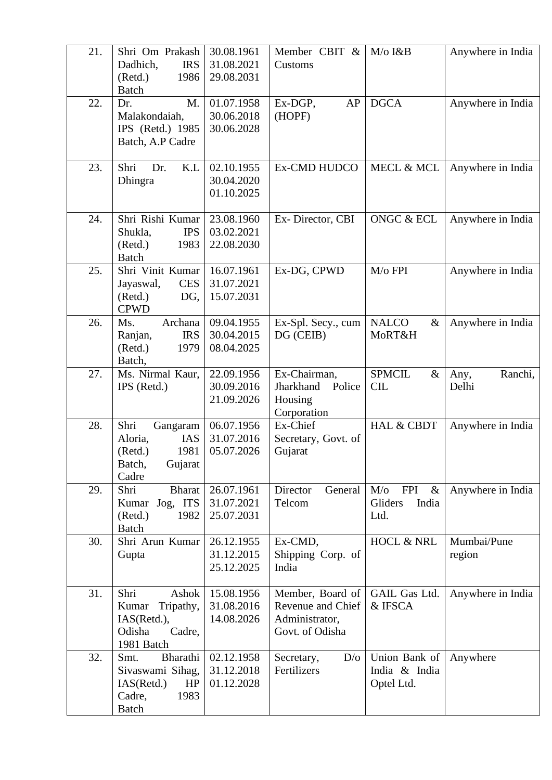| 21. | Shri Om Prakash<br>Dadhich,<br><b>IRS</b><br>1986<br>(Retd.)<br><b>Batch</b>               | 30.08.1961<br>31.08.2021<br>29.08.2031 | Member CBIT &<br>Customs                                                   | M/o I&B                                                          | Anywhere in India        |
|-----|--------------------------------------------------------------------------------------------|----------------------------------------|----------------------------------------------------------------------------|------------------------------------------------------------------|--------------------------|
| 22. | M.<br>Dr.<br>Malakondaiah,<br>IPS (Retd.) 1985<br>Batch, A.P Cadre                         | 01.07.1958<br>30.06.2018<br>30.06.2028 | Ex-DGP,<br>AP<br>(HOPF)                                                    | <b>DGCA</b>                                                      | Anywhere in India        |
| 23. | Shri<br>Dr.<br>K.L<br>Dhingra                                                              | 02.10.1955<br>30.04.2020<br>01.10.2025 | Ex-CMD HUDCO                                                               | <b>MECL &amp; MCL</b>                                            | Anywhere in India        |
| 24. | Shri Rishi Kumar<br>Shukla,<br><b>IPS</b><br>(Retd.)<br>1983<br><b>Batch</b>               | 23.08.1960<br>03.02.2021<br>22.08.2030 | Ex-Director, CBI                                                           | <b>ONGC &amp; ECL</b>                                            | Anywhere in India        |
| 25. | Shri Vinit Kumar<br><b>CES</b><br>Jayaswal,<br>DG,<br>(Retd.)<br><b>CPWD</b>               | 16.07.1961<br>31.07.2021<br>15.07.2031 | Ex-DG, CPWD                                                                | M/o FPI                                                          | Anywhere in India        |
| 26. | Ms.<br>Archana<br><b>IRS</b><br>Ranjan,<br>(Retd.)<br>1979<br>Batch,                       | 09.04.1955<br>30.04.2015<br>08.04.2025 | Ex-Spl. Secy., cum<br>DG (CEIB)                                            | <b>NALCO</b><br>$\&$<br>MoRT&H                                   | Anywhere in India        |
| 27. | Ms. Nirmal Kaur,<br>IPS (Retd.)                                                            | 22.09.1956<br>30.09.2016<br>21.09.2026 | Ex-Chairman,<br>Jharkhand<br>Police<br>Housing<br>Corporation              | <b>SPMCIL</b><br>$\&$<br><b>CIL</b>                              | Ranchi,<br>Any,<br>Delhi |
| 28. | Shri<br>Gangaram<br>Aloria,<br><b>IAS</b><br>(Retd.)<br>1981<br>Batch,<br>Gujarat<br>Cadre | 06.07.1956<br>31.07.2016<br>05.07.2026 | Ex-Chief<br>Secretary, Govt. of<br>Gujarat                                 | <b>HAL &amp; CBDT</b>                                            | Anywhere in India        |
| 29. | Shri<br>Bharat<br>Kumar Jog, ITS<br>1982<br>(Retd.)<br><b>Batch</b>                        | 26.07.1961<br>31.07.2021<br>25.07.2031 | Director<br>General<br>Telcom                                              | <b>FPI</b><br>$M$ / $\sigma$<br>$\&$<br>Gliders<br>India<br>Ltd. | Anywhere in India        |
| 30. | Shri Arun Kumar<br>Gupta                                                                   | 26.12.1955<br>31.12.2015<br>25.12.2025 | Ex-CMD,<br>Shipping Corp. of<br>India                                      | HOCL & NRL                                                       | Mumbai/Pune<br>region    |
| 31. | Shri<br>Ashok<br>Kumar<br>Tripathy,<br>IAS(Retd.),<br>Odisha<br>Cadre,<br>1981 Batch       | 15.08.1956<br>31.08.2016<br>14.08.2026 | Member, Board of<br>Revenue and Chief<br>Administrator,<br>Govt. of Odisha | GAIL Gas Ltd.<br>& IFSCA                                         | Anywhere in India        |
| 32. | Bharathi<br>Smt.<br>Sivaswami Sihag,<br>IAS(Retd.)<br>HP<br>Cadre,<br>1983<br><b>Batch</b> | 02.12.1958<br>31.12.2018<br>01.12.2028 | Secretary,<br>D/O<br>Fertilizers                                           | Union Bank of<br>India & India<br>Optel Ltd.                     | Anywhere                 |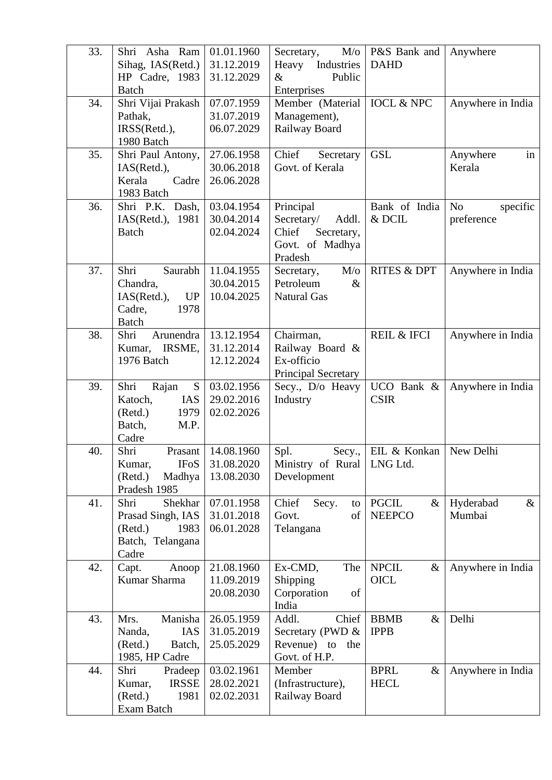| 33. | Shri Asha Ram<br>Sihag, IAS(Retd.)<br>HP Cadre, 1983 | 01.01.1960<br>31.12.2019<br>31.12.2029 | $M$ /o<br>Secretary,<br>Heavy<br>Industries<br>Public<br>$\&$ | P&S Bank and<br><b>DAHD</b>           | Anywhere                    |
|-----|------------------------------------------------------|----------------------------------------|---------------------------------------------------------------|---------------------------------------|-----------------------------|
|     | <b>Batch</b>                                         |                                        | Enterprises                                                   |                                       |                             |
| 34. | Shri Vijai Prakash                                   | 07.07.1959                             | Member (Material                                              | <b>IOCL &amp; NPC</b>                 | Anywhere in India           |
|     | Pathak,                                              | 31.07.2019                             | Management),                                                  |                                       |                             |
|     | IRSS(Retd.),<br>1980 Batch                           | 06.07.2029                             | Railway Board                                                 |                                       |                             |
| 35. | Shri Paul Antony,                                    | 27.06.1958                             | Chief<br>Secretary                                            | <b>GSL</b>                            | Anywhere<br>in              |
|     | IAS(Retd.),                                          | 30.06.2018                             | Govt. of Kerala                                               |                                       | Kerala                      |
|     | Kerala<br>Cadre                                      | 26.06.2028                             |                                                               |                                       |                             |
|     | 1983 Batch                                           |                                        |                                                               |                                       |                             |
| 36. | Shri P.K. Dash,                                      | 03.04.1954                             | Principal                                                     | Bank of India                         | N <sub>o</sub><br>specific  |
|     | IAS(Retd.), 1981                                     | 30.04.2014                             | Secretary/<br>Addl.                                           | $\&$ DCIL                             | preference                  |
|     | <b>Batch</b>                                         | 02.04.2024                             | Chief<br>Secretary,                                           |                                       |                             |
|     |                                                      |                                        | Govt. of Madhya                                               |                                       |                             |
|     |                                                      |                                        | Pradesh                                                       |                                       |                             |
| 37. | Shri<br>Saurabh<br>Chandra,                          | 11.04.1955<br>30.04.2015               | M/o<br>Secretary,<br>Petroleum<br>$\&$                        | <b>RITES &amp; DPT</b>                | Anywhere in India           |
|     | IAS(Retd.),<br>UP                                    | 10.04.2025                             | <b>Natural Gas</b>                                            |                                       |                             |
|     | Cadre,<br>1978                                       |                                        |                                                               |                                       |                             |
|     | <b>Batch</b>                                         |                                        |                                                               |                                       |                             |
| 38. | Shri<br>Arunendra                                    | 13.12.1954                             | Chairman,                                                     | <b>REIL &amp; IFCI</b>                | Anywhere in India           |
|     | Kumar, IRSME,                                        | 31.12.2014                             | Railway Board &                                               |                                       |                             |
|     | 1976 Batch                                           | 12.12.2024                             | Ex-officio                                                    |                                       |                             |
|     |                                                      |                                        | Principal Secretary                                           |                                       |                             |
| 39. | Shri<br>S<br>Rajan<br><b>IAS</b><br>Katoch,          | 03.02.1956<br>29.02.2016               | Secy., D/o Heavy                                              | UCO Bank &<br><b>CSIR</b>             | Anywhere in India           |
|     | (Retd.)<br>1979                                      | 02.02.2026                             | Industry                                                      |                                       |                             |
|     | Batch,<br>M.P.                                       |                                        |                                                               |                                       |                             |
|     | Cadre                                                |                                        |                                                               |                                       |                             |
| 40. | Shri<br>Prasant                                      | 14.08.1960                             | Spl.                                                          | Secy.,   EIL & Konkan   New Delhi     |                             |
|     | <b>IFoS</b><br>Kumar,                                | 31.08.2020                             | Ministry of Rural   LNG Ltd.                                  |                                       |                             |
|     | (Retd.)<br>Madhya                                    | 13.08.2030                             | Development                                                   |                                       |                             |
|     | Pradesh 1985                                         |                                        |                                                               |                                       |                             |
| 41. | Shri<br>Shekhar<br>Prasad Singh, IAS                 | 07.01.1958<br>31.01.2018               | Chief<br>Secy.<br>to<br>Govt.<br>of                           | <b>PGCIL</b><br>$\&$<br><b>NEEPCO</b> | Hyderabad<br>$\&$<br>Mumbai |
|     | (Retd.)<br>1983                                      | 06.01.2028                             | Telangana                                                     |                                       |                             |
|     | Batch, Telangana                                     |                                        |                                                               |                                       |                             |
|     | Cadre                                                |                                        |                                                               |                                       |                             |
| 42. | Capt.<br>Anoop                                       | 21.08.1960                             | Ex-CMD,<br>The                                                | <b>NPCIL</b><br>$\&$                  | Anywhere in India           |
|     | Kumar Sharma                                         | 11.09.2019                             | Shipping                                                      | <b>OICL</b>                           |                             |
|     |                                                      | 20.08.2030                             | Corporation<br>of                                             |                                       |                             |
|     |                                                      |                                        | India                                                         |                                       |                             |
| 43. | Manisha<br>Mrs.<br>IAS<br>Nanda,                     | 26.05.1959<br>31.05.2019               | Addl.<br>Chief<br>Secretary (PWD &                            | <b>BBMB</b><br>$\&$<br><b>IPPB</b>    | Delhi                       |
|     | (Retd.)<br>Batch,                                    | 25.05.2029                             | Revenue) to<br>the                                            |                                       |                             |
|     | 1985, HP Cadre                                       |                                        | Govt. of H.P.                                                 |                                       |                             |
| 44. | Shri<br>Pradeep                                      | 03.02.1961                             | Member                                                        | <b>BPRL</b><br>$\&$                   | Anywhere in India           |
|     | <b>IRSSE</b><br>Kumar,                               | 28.02.2021                             | (Infrastructure),                                             | <b>HECL</b>                           |                             |
|     | (Retd.)<br>1981                                      | 02.02.2031                             | Railway Board                                                 |                                       |                             |
|     | Exam Batch                                           |                                        |                                                               |                                       |                             |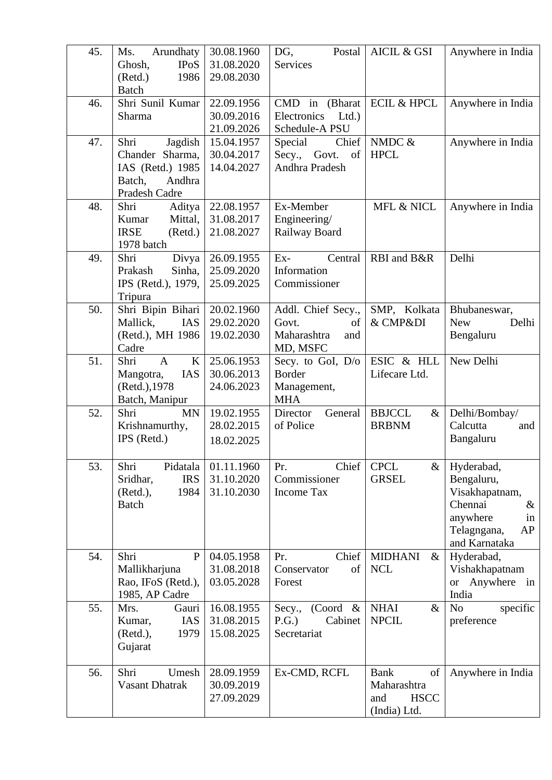| 45. | Arundhaty<br>Ms.<br><b>IPoS</b><br>Ghosh,<br>1986<br>(Retd.)<br><b>Batch</b>                | 30.08.1960<br>31.08.2020<br>29.08.2030 | DG,<br>Postal<br>Services                                           | AICIL & GSI                                                            | Anywhere in India                                                                                                     |
|-----|---------------------------------------------------------------------------------------------|----------------------------------------|---------------------------------------------------------------------|------------------------------------------------------------------------|-----------------------------------------------------------------------------------------------------------------------|
| 46. | Shri Sunil Kumar<br>Sharma                                                                  | 22.09.1956<br>30.09.2016<br>21.09.2026 | CMD in (Bharat<br>Electronics<br>Ltd.<br>Schedule-A PSU             | <b>ECIL &amp; HPCL</b>                                                 | Anywhere in India                                                                                                     |
| 47. | Shri<br>Jagdish<br>Chander Sharma,<br>IAS (Retd.) 1985<br>Batch,<br>Andhra<br>Pradesh Cadre | 15.04.1957<br>30.04.2017<br>14.04.2027 | Chief<br>Special<br>Secy., Govt.<br>of<br>Andhra Pradesh            | NMDC $&$<br><b>HPCL</b>                                                | Anywhere in India                                                                                                     |
| 48. | Shri<br>Aditya<br>Kumar<br>Mittal,<br><b>IRSE</b><br>(Retd.)<br>1978 batch                  | 22.08.1957<br>31.08.2017<br>21.08.2027 | Ex-Member<br>Engineering/<br>Railway Board                          | MFL & NICL                                                             | Anywhere in India                                                                                                     |
| 49. | Shri<br>Divya<br>Sinha,<br>Prakash<br>IPS (Retd.), 1979,<br>Tripura                         | 26.09.1955<br>25.09.2020<br>25.09.2025 | $Ex-$<br>Central<br>Information<br>Commissioner                     | RBI and B&R                                                            | Delhi                                                                                                                 |
| 50. | Shri Bipin Bihari<br>Mallick,<br>IAS<br>(Retd.), MH 1986<br>Cadre                           | 20.02.1960<br>29.02.2020<br>19.02.2030 | Addl. Chief Secy.,<br>Govt.<br>of<br>Maharashtra<br>and<br>MD, MSFC | SMP, Kolkata<br>& CMP&DI                                               | Bhubaneswar,<br><b>New</b><br>Delhi<br>Bengaluru                                                                      |
| 51. | K<br>Shri<br>$\mathbf{A}$<br>IAS<br>Mangotra,<br>(Retd.), 1978<br>Batch, Manipur            | 25.06.1953<br>30.06.2013<br>24.06.2023 | Secy. to GoI, D/o<br>Border<br>Management,<br><b>MHA</b>            | ESIC & HLL<br>Lifecare Ltd.                                            | New Delhi                                                                                                             |
| 52. | Shri<br><b>MN</b><br>Krishnamurthy,<br>IPS (Retd.)                                          | 19.02.1955<br>28.02.2015<br>18.02.2025 | General<br>Director<br>of Police                                    | <b>BBJCCL</b><br>$\&$<br><b>BRBNM</b>                                  | Delhi/Bombay/<br>Calcutta<br>and<br>Bangaluru                                                                         |
| 53. | Shri<br>Pidatala<br>Sridhar,<br><b>IRS</b><br>1984<br>(Retd.),<br><b>Batch</b>              | 01.11.1960<br>31.10.2020<br>31.10.2030 | Chief<br>Pr.<br>Commissioner<br><b>Income Tax</b>                   | <b>CPCL</b><br>$\&$<br><b>GRSEL</b>                                    | Hyderabad,<br>Bengaluru,<br>Visakhapatnam,<br>Chennai<br>$\&$<br>anywhere<br>in<br>Telagngana,<br>AP<br>and Karnataka |
| 54. | Shri<br>$\mathbf P$<br>Mallikharjuna<br>Rao, IFoS (Retd.),<br>1985, AP Cadre                | 04.05.1958<br>31.08.2018<br>03.05.2028 | Chief<br>Pr.<br>Conservator<br>of<br>Forest                         | <b>MIDHANI</b><br>&<br><b>NCL</b>                                      | Hyderabad,<br>Vishakhapatnam<br>Anywhere in<br><b>or</b><br>India                                                     |
| 55. | Mrs.<br>Gauri<br><b>IAS</b><br>Kumar,<br>(Retd.),<br>1979<br>Gujarat                        | 16.08.1955<br>31.08.2015<br>15.08.2025 | $(Cor d \& )$<br>Secy.,<br>Cabinet<br>P.G.<br>Secretariat           | <b>NHAI</b><br>&<br><b>NPCIL</b>                                       | N <sub>o</sub><br>specific<br>preference                                                                              |
| 56. | Shri<br>Umesh<br><b>Vasant Dhatrak</b>                                                      | 28.09.1959<br>30.09.2019<br>27.09.2029 | Ex-CMD, RCFL                                                        | <b>Bank</b><br>of<br>Maharashtra<br><b>HSCC</b><br>and<br>(India) Ltd. | Anywhere in India                                                                                                     |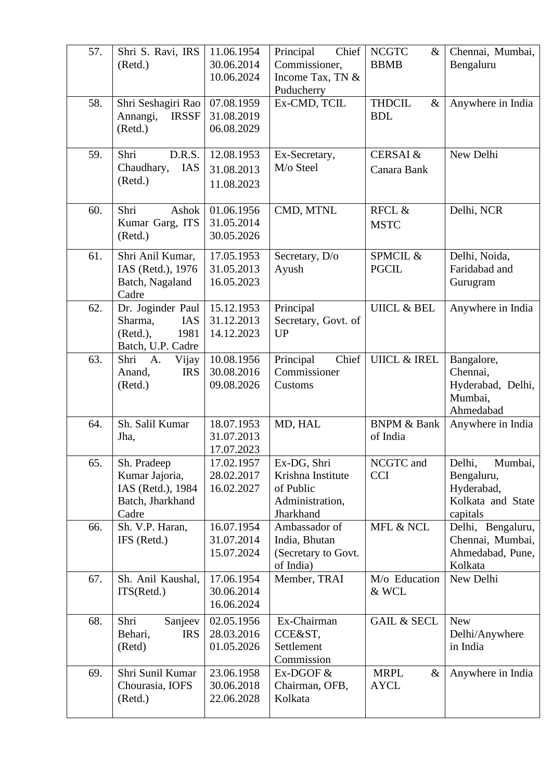| 57. | Shri S. Ravi, IRS<br>(Retd.)                                                    | 11.06.1954<br>30.06.2014<br>10.06.2024 | Chief<br>Principal<br>Commissioner,<br>Income Tax, TN &<br>Puducherry         | <b>NCGTC</b><br>&<br><b>BBMB</b>    | Chennai, Mumbai,<br>Bengaluru                                                  |
|-----|---------------------------------------------------------------------------------|----------------------------------------|-------------------------------------------------------------------------------|-------------------------------------|--------------------------------------------------------------------------------|
| 58. | Shri Seshagiri Rao<br><b>IRSSF</b><br>Annangi,<br>(Retd.)                       | 07.08.1959<br>31.08.2019<br>06.08.2029 | Ex-CMD, TCIL                                                                  | <b>THDCIL</b><br>$\&$<br><b>BDL</b> | Anywhere in India                                                              |
| 59. | Shri<br>D.R.S.<br>Chaudhary,<br>IAS<br>(Retd.)                                  | 12.08.1953<br>31.08.2013<br>11.08.2023 | Ex-Secretary,<br>M/o Steel                                                    | <b>CERSAI &amp;</b><br>Canara Bank  | New Delhi                                                                      |
| 60. | Shri<br>Ashok<br>Kumar Garg, ITS<br>(Retd.)                                     | 01.06.1956<br>31.05.2014<br>30.05.2026 | CMD, MTNL                                                                     | RFCL &<br><b>MSTC</b>               | Delhi, NCR                                                                     |
| 61. | Shri Anil Kumar,<br>IAS (Retd.), 1976<br>Batch, Nagaland<br>Cadre               | 17.05.1953<br>31.05.2013<br>16.05.2023 | Secretary, D/o<br>Ayush                                                       | SPMCIL &<br><b>PGCIL</b>            | Delhi, Noida,<br>Faridabad and<br>Gurugram                                     |
| 62. | Dr. Joginder Paul<br>IAS<br>Sharma,<br>(Retd.),<br>1981<br>Batch, U.P. Cadre    | 15.12.1953<br>31.12.2013<br>14.12.2023 | Principal<br>Secretary, Govt. of<br><b>UP</b>                                 | <b>UIICL &amp; BEL</b>              | Anywhere in India                                                              |
| 63. | Shri<br>A.<br>Vijay<br><b>IRS</b><br>Anand,<br>(Retd.)                          | 10.08.1956<br>30.08.2016<br>09.08.2026 | Chief<br>Principal<br>Commissioner<br>Customs                                 | <b>UIICL &amp; IREL</b>             | Bangalore,<br>Chennai,<br>Hyderabad, Delhi,<br>Mumbai,<br>Ahmedabad            |
| 64. | Sh. Salil Kumar<br>Jha,                                                         | 18.07.1953<br>31.07.2013<br>17.07.2023 | MD, HAL                                                                       | <b>BNPM &amp; Bank</b><br>of India  | Anywhere in India                                                              |
| 65. | Sh. Pradeep<br>Kumar Jajoria,<br>IAS (Retd.), 1984<br>Batch, Jharkhand<br>Cadre | 17.02.1957<br>28.02.2017<br>16.02.2027 | Ex-DG, Shri<br>Krishna Institute<br>of Public<br>Administration,<br>Jharkhand | NCGTC and<br><b>CCI</b>             | Delhi,<br>Mumbai,<br>Bengaluru,<br>Hyderabad,<br>Kolkata and State<br>capitals |
| 66. | Sh. V.P. Haran,<br>IFS (Retd.)                                                  | 16.07.1954<br>31.07.2014<br>15.07.2024 | Ambassador of<br>India, Bhutan<br>(Secretary to Govt.<br>of India)            | MFL & NCL                           | Delhi, Bengaluru,<br>Chennai, Mumbai,<br>Ahmedabad, Pune,<br>Kolkata           |
| 67. | Sh. Anil Kaushal,<br>ITS(Retd.)                                                 | 17.06.1954<br>30.06.2014<br>16.06.2024 | Member, TRAI                                                                  | M/o Education<br>& WCL              | New Delhi                                                                      |
| 68. | Shri<br>Sanjeev<br>Behari,<br><b>IRS</b><br>(Retd)                              | 02.05.1956<br>28.03.2016<br>01.05.2026 | Ex-Chairman<br>CCE&ST,<br>Settlement<br>Commission                            | <b>GAIL &amp; SECL</b>              | <b>New</b><br>Delhi/Anywhere<br>in India                                       |
| 69. | Shri Sunil Kumar<br>Chourasia, IOFS<br>(Retd.)                                  | 23.06.1958<br>30.06.2018<br>22.06.2028 | Ex-DGOF $&$<br>Chairman, OFB,<br>Kolkata                                      | <b>MRPL</b><br>&<br><b>AYCL</b>     | Anywhere in India                                                              |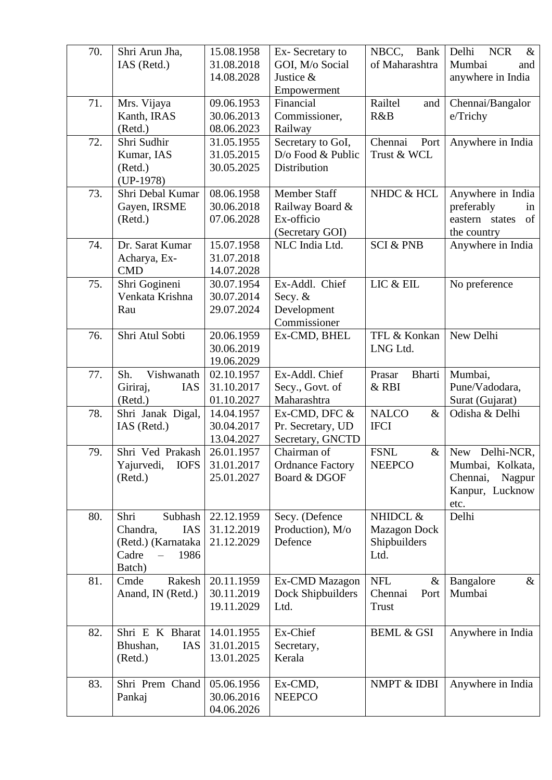| 70. | Shri Arun Jha,<br>IAS (Retd.)                                                       | 15.08.1958<br>31.08.2018<br>14.08.2028 | Ex-Secretary to<br>GOI, M/o Social<br>Justice &<br>Empowerment          | NBCC,<br><b>Bank</b><br>of Maharashtra                  | Delhi<br><b>NCR</b><br>$\&$<br>Mumbai<br>and<br>anywhere in India                   |
|-----|-------------------------------------------------------------------------------------|----------------------------------------|-------------------------------------------------------------------------|---------------------------------------------------------|-------------------------------------------------------------------------------------|
| 71. | Mrs. Vijaya<br>Kanth, IRAS<br>(Retd.)                                               | 09.06.1953<br>30.06.2013<br>08.06.2023 | Financial<br>Commissioner,<br>Railway                                   | Railtel<br>and<br>R&B                                   | Chennai/Bangalor<br>e/Trichy                                                        |
| 72. | Shri Sudhir<br>Kumar, IAS<br>(Retd.)<br>$(UP-1978)$                                 | 31.05.1955<br>31.05.2015<br>30.05.2025 | Secretary to GoI,<br>D/o Food & Public<br>Distribution                  | Chennai<br>Port<br>Trust & WCL                          | Anywhere in India                                                                   |
| 73. | Shri Debal Kumar<br>Gayen, IRSME<br>(Retd.)                                         | 08.06.1958<br>30.06.2018<br>07.06.2028 | <b>Member Staff</b><br>Railway Board &<br>Ex-officio<br>(Secretary GOI) | NHDC & HCL                                              | Anywhere in India<br>preferably<br>in<br>of<br>eastern states<br>the country        |
| 74. | Dr. Sarat Kumar<br>Acharya, Ex-<br><b>CMD</b>                                       | 15.07.1958<br>31.07.2018<br>14.07.2028 | NLC India Ltd.                                                          | <b>SCI &amp; PNB</b>                                    | Anywhere in India                                                                   |
| 75. | Shri Gogineni<br>Venkata Krishna<br>Rau                                             | 30.07.1954<br>30.07.2014<br>29.07.2024 | Ex-Addl. Chief<br>Secy. &<br>Development<br>Commissioner                | LIC & EIL                                               | No preference                                                                       |
| 76. | Shri Atul Sobti                                                                     | 20.06.1959<br>30.06.2019<br>19.06.2029 | Ex-CMD, BHEL                                                            | TFL & Konkan<br>LNG Ltd.                                | New Delhi                                                                           |
| 77. | Sh.<br>Vishwanath<br>IAS<br>Giriraj,<br>(Retd.)                                     | 02.10.1957<br>31.10.2017<br>01.10.2027 | Ex-Addl. Chief<br>Secy., Govt. of<br>Maharashtra                        | <b>Bharti</b><br>Prasar<br>& RBI                        | Mumbai,<br>Pune/Vadodara,<br>Surat (Gujarat)                                        |
| 78. | Shri Janak Digal,<br>IAS (Retd.)                                                    | 14.04.1957<br>30.04.2017<br>13.04.2027 | Ex-CMD, DFC &<br>Pr. Secretary, UD<br>Secretary, GNCTD                  | <b>NALCO</b><br>$\&$<br><b>IFCI</b>                     | Odisha & Delhi                                                                      |
| 79. | Shri Ved Prakash<br>Yajurvedi,<br><b>IOFS</b><br>(Retd.)                            | 26.01.1957<br>31.01.2017<br>25.01.2027 | Chairman of<br><b>Ordnance Factory</b><br>Board & DGOF                  | <b>FSNL</b><br>$\&$<br><b>NEEPCO</b>                    | New Delhi-NCR,<br>Mumbai, Kolkata,<br>Chennai,<br>Nagpur<br>Kanpur, Lucknow<br>etc. |
| 80. | Shri<br>Subhash<br>Chandra,<br>IAS<br>(Retd.) (Karnataka<br>Cadre<br>1986<br>Batch) | 22.12.1959<br>31.12.2019<br>21.12.2029 | Secy. (Defence<br>Production), M/o<br>Defence                           | NHIDCL &<br><b>Mazagon Dock</b><br>Shipbuilders<br>Ltd. | Delhi                                                                               |
| 81. | Cmde<br>Rakesh<br>Anand, IN (Retd.)                                                 | 20.11.1959<br>30.11.2019<br>19.11.2029 | Ex-CMD Mazagon<br>Dock Shipbuilders<br>Ltd.                             | <b>NFL</b><br>$\&$<br>Chennai<br>Port<br><b>Trust</b>   | Bangalore<br>$\&$<br>Mumbai                                                         |
| 82. | Shri E K Bharat<br>Bhushan,<br>IAS<br>(Retd.)                                       | 14.01.1955<br>31.01.2015<br>13.01.2025 | Ex-Chief<br>Secretary,<br>Kerala                                        | <b>BEML &amp; GSI</b>                                   | Anywhere in India                                                                   |
| 83. | Shri Prem Chand<br>Pankaj                                                           | 05.06.1956<br>30.06.2016<br>04.06.2026 | Ex-CMD,<br><b>NEEPCO</b>                                                | NMPT & IDBI                                             | Anywhere in India                                                                   |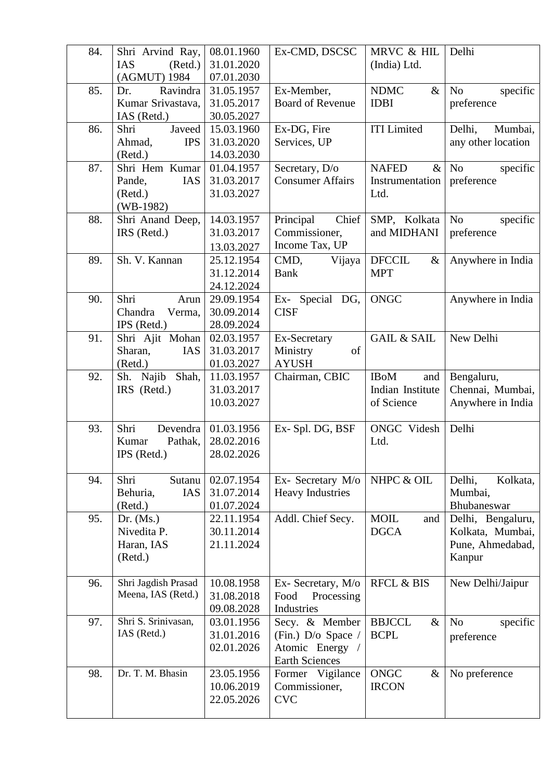| 84. | Shri Arvind Ray,       | 08.01.1960 | Ex-CMD, DSCSC           | MRVC & HIL             | Delhi                      |
|-----|------------------------|------------|-------------------------|------------------------|----------------------------|
|     | IAS<br>(Retd.)         | 31.01.2020 |                         | (India) Ltd.           |                            |
|     | (AGMUT) 1984           | 07.01.2030 |                         |                        |                            |
| 85. | Ravindra<br>Dr.        | 31.05.1957 | Ex-Member,              | <b>NDMC</b><br>$\&$    | N <sub>o</sub><br>specific |
|     | Kumar Srivastava,      | 31.05.2017 | <b>Board of Revenue</b> | <b>IDBI</b>            | preference                 |
|     | IAS (Retd.)            | 30.05.2027 |                         |                        |                            |
| 86. | Javeed<br>Shri         | 15.03.1960 | Ex-DG, Fire             | <b>ITI</b> Limited     | Delhi,<br>Mumbai,          |
|     | Ahmad,<br><b>IPS</b>   | 31.03.2020 | Services, UP            |                        | any other location         |
|     | (Retd.)                | 14.03.2030 |                         |                        |                            |
| 87. | Shri Hem Kumar         | 01.04.1957 | Secretary, D/o          | <b>NAFED</b><br>$\&$   | N <sub>o</sub><br>specific |
|     | Pande,<br><b>IAS</b>   | 31.03.2017 | <b>Consumer Affairs</b> | Instrumentation        | preference                 |
|     | (Retd.)                | 31.03.2027 |                         | Ltd.                   |                            |
|     | $(WB-1982)$            |            |                         |                        |                            |
| 88. | Shri Anand Deep,       | 14.03.1957 | Chief<br>Principal      | SMP, Kolkata           | N <sub>o</sub><br>specific |
|     | IRS (Retd.)            | 31.03.2017 | Commissioner,           | and MIDHANI            | preference                 |
|     |                        | 13.03.2027 | Income Tax, UP          |                        |                            |
| 89. | Sh. V. Kannan          | 25.12.1954 | CMD,<br>Vijaya          | <b>DFCCIL</b><br>$\&$  | Anywhere in India          |
|     |                        | 31.12.2014 | <b>Bank</b>             | <b>MPT</b>             |                            |
|     |                        | 24.12.2024 |                         |                        |                            |
| 90. | Shri<br>Arun           | 29.09.1954 | Ex- Special DG,         | <b>ONGC</b>            | Anywhere in India          |
|     | Chandra<br>Verma,      | 30.09.2014 | <b>CISF</b>             |                        |                            |
|     | IPS (Retd.)            | 28.09.2024 |                         |                        |                            |
| 91. | Shri Ajit Mohan        | 02.03.1957 | Ex-Secretary            | <b>GAIL &amp; SAIL</b> | New Delhi                  |
|     | Sharan,<br>IAS         | 31.03.2017 | of<br>Ministry          |                        |                            |
|     | (Retd.)                | 01.03.2027 | <b>AYUSH</b>            |                        |                            |
| 92. | Shah,<br>Sh. Najib     | 11.03.1957 | Chairman, CBIC          | <b>IBoM</b><br>and     | Bengaluru,                 |
|     | IRS (Retd.)            | 31.03.2017 |                         | Indian Institute       | Chennai, Mumbai,           |
|     |                        | 10.03.2027 |                         | of Science             | Anywhere in India          |
|     |                        |            |                         |                        |                            |
| 93. | Shri<br>Devendra       | 01.03.1956 | Ex-Spl. DG, BSF         | ONGC Videsh            | Delhi                      |
|     | Kumar<br>Pathak,       | 28.02.2016 |                         | Ltd.                   |                            |
|     | IPS (Retd.)            | 28.02.2026 |                         |                        |                            |
|     |                        |            |                         |                        |                            |
| 94. | Shri<br>Sutanu         | 02.07.1954 | Ex- Secretary M/o       | NHPC & OIL             | Delhi,<br>Kolkata,         |
|     | <b>IAS</b><br>Behuria, | 31.07.2014 | <b>Heavy Industries</b> |                        | Mumbai,                    |
|     | (Retd.)                | 01.07.2024 |                         |                        | Bhubaneswar                |
| 95. | Dr. $(Ms.)$            | 22.11.1954 | Addl. Chief Secy.       | <b>MOIL</b><br>and     | Delhi, Bengaluru,          |
|     | Nivedita P.            | 30.11.2014 |                         | <b>DGCA</b>            | Kolkata, Mumbai,           |
|     | Haran, IAS             | 21.11.2024 |                         |                        | Pune, Ahmedabad,           |
|     | (Retd.)                |            |                         |                        | Kanpur                     |
|     |                        |            |                         |                        |                            |
| 96. | Shri Jagdish Prasad    | 10.08.1958 | Ex- Secretary, M/o      | <b>RFCL &amp; BIS</b>  | New Delhi/Jaipur           |
|     | Meena, IAS (Retd.)     | 31.08.2018 | Processing<br>Food      |                        |                            |
|     |                        | 09.08.2028 | Industries              |                        |                            |
| 97. | Shri S. Srinivasan,    | 03.01.1956 | Secy. & Member          | <b>BBJCCL</b><br>$\&$  | N <sub>o</sub><br>specific |
|     | IAS (Retd.)            | 31.01.2016 | (Fin.) D/o Space /      | <b>BCPL</b>            | preference                 |
|     |                        | 02.01.2026 | Atomic Energy /         |                        |                            |
|     |                        |            | <b>Earth Sciences</b>   |                        |                            |
| 98. | Dr. T. M. Bhasin       | 23.05.1956 | Former Vigilance        | <b>ONGC</b><br>$\&$    | No preference              |
|     |                        | 10.06.2019 | Commissioner,           | <b>IRCON</b>           |                            |
|     |                        | 22.05.2026 | <b>CVC</b>              |                        |                            |
|     |                        |            |                         |                        |                            |
|     |                        |            |                         |                        |                            |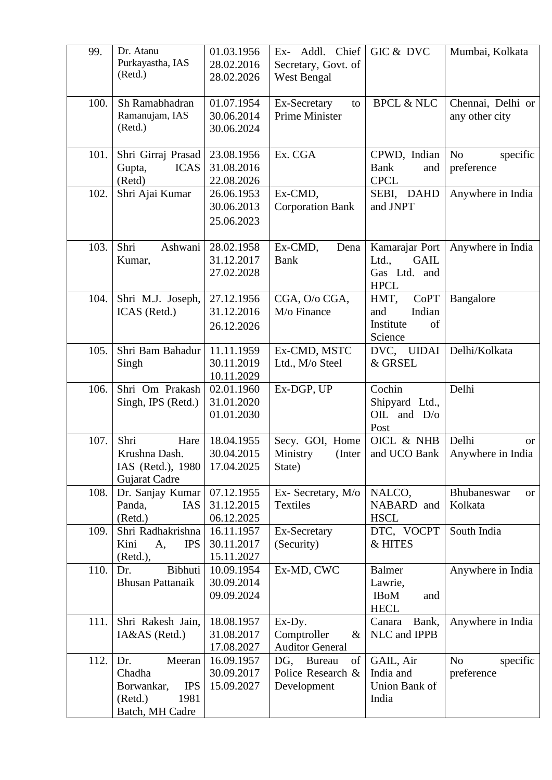| 99.          | Dr. Atanu<br>Purkayastha, IAS<br>(Retd.)                            | 01.03.1956<br>28.02.2016<br>28.02.2026               | Ex- Addl. Chief<br>Secretary, Govt. of<br>West Bengal                       | GIC & DVC                                                             | Mumbai, Kolkata                                 |
|--------------|---------------------------------------------------------------------|------------------------------------------------------|-----------------------------------------------------------------------------|-----------------------------------------------------------------------|-------------------------------------------------|
| 100.         | Sh Ramabhadran<br>Ramanujam, IAS<br>(Retd.)                         | 01.07.1954<br>30.06.2014<br>30.06.2024               | Ex-Secretary<br>to<br>Prime Minister                                        | <b>BPCL &amp; NLC</b>                                                 | Chennai, Delhi or<br>any other city             |
| 101.         | Shri Girraj Prasad<br>Gupta,<br><b>ICAS</b><br>(Retd)               | 23.08.1956<br>31.08.2016<br>22.08.2026               | Ex. CGA                                                                     | CPWD, Indian<br><b>Bank</b><br>and<br><b>CPCL</b>                     | N <sub>o</sub><br>specific<br>preference        |
| 102.         | Shri Ajai Kumar                                                     | 26.06.1953<br>30.06.2013<br>25.06.2023               | Ex-CMD,<br><b>Corporation Bank</b>                                          | SEBI, DAHD<br>and JNPT                                                | Anywhere in India                               |
| 103.         | Shri<br>Ashwani<br>Kumar,                                           | 28.02.1958<br>31.12.2017<br>27.02.2028               | Ex-CMD,<br>Dena<br><b>Bank</b>                                              | Kamarajar Port<br>Ltd.,<br><b>GAIL</b><br>Gas Ltd. and<br><b>HPCL</b> | Anywhere in India                               |
| 104.         | Shri M.J. Joseph,<br>ICAS (Retd.)                                   | 27.12.1956<br>31.12.2016<br>26.12.2026               | CGA, O/o CGA,<br>M/o Finance                                                | CoPT<br>HMT,<br>Indian<br>and<br>Institute<br>of<br>Science           | Bangalore                                       |
| 105.         | Shri Bam Bahadur<br>Singh                                           | 11.11.1959<br>30.11.2019<br>10.11.2029               | Ex-CMD, MSTC<br>Ltd., M/o Steel                                             | DVC, UIDAI<br>& GRSEL                                                 | Delhi/Kolkata                                   |
| 106.         | Shri Om Prakash<br>Singh, IPS (Retd.)                               | 02.01.1960<br>31.01.2020<br>01.01.2030               | Ex-DGP, UP                                                                  | Cochin<br>Shipyard Ltd.,<br>OIL and $D/O$<br>Post                     | Delhi                                           |
| 107.         | Shri<br>Hare<br>Krushna Dash.<br>IAS (Retd.), 1980<br>Gujarat Cadre | 18.04.1955<br>30.04.2015<br>17.04.2025               | Secy. GOI, Home<br>Ministry<br>(Inter<br>State)                             | OICL & NHB<br>and UCO Bank                                            | Delhi<br><sub>or</sub><br>Anywhere in India     |
| 108.         | Dr. Sanjay Kumar<br>Panda,<br><b>IAS</b><br>(Retd.)                 | 07.12.1955<br>31.12.2015<br>06.12.2025               | Ex- Secretary, M/o<br>Textiles                                              | NALCO,<br>NABARD and<br><b>HSCL</b>                                   | Bhubaneswar<br><sub>or</sub><br>Kolkata         |
| 109.         | Shri Radhakrishna<br>Kini<br><b>IPS</b><br>A,<br>(Retd.),           | 16.11.1957<br>30.11.2017<br>15.11.2027               | Ex-Secretary<br>(Security)                                                  | DTC, VOCPT<br>& HITES                                                 | South India                                     |
| 110.         |                                                                     |                                                      |                                                                             |                                                                       |                                                 |
|              | Bibhuti<br>Dr.<br><b>Bhusan Pattanaik</b>                           | 10.09.1954<br>30.09.2014<br>09.09.2024               | Ex-MD, CWC                                                                  | <b>Balmer</b><br>Lawrie,<br><b>IBoM</b><br>and<br><b>HECL</b>         | Anywhere in India                               |
| 111.<br>112. | Shri Rakesh Jain,<br>IA&AS (Retd.)<br>Meeran<br>Dr.                 | 18.08.1957<br>31.08.2017<br>17.08.2027<br>16.09.1957 | Ex-Dy.<br>Comptroller<br>$\&$<br><b>Auditor General</b><br>DG, Bureau<br>of | Canara<br>Bank,<br>NLC and IPPB<br>GAIL, Air                          | Anywhere in India<br>N <sub>o</sub><br>specific |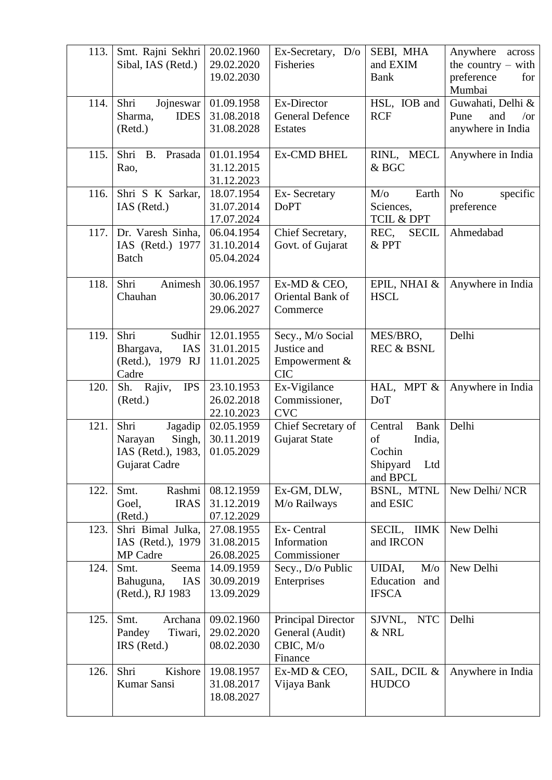| 113. | Smt. Rajni Sekhri<br>Sibal, IAS (Retd.)                                     | 20.02.1960<br>29.02.2020<br>19.02.2030 | Ex-Secretary, D/o<br>Fisheries                                       | SEBI, MHA<br>and EXIM<br><b>Bank</b>                                            | Anywhere<br>across<br>the country $-$ with<br>preference<br>for<br>Mumbai |
|------|-----------------------------------------------------------------------------|----------------------------------------|----------------------------------------------------------------------|---------------------------------------------------------------------------------|---------------------------------------------------------------------------|
| 114. | Shri<br>Jojneswar<br><b>IDES</b><br>Sharma,<br>(Retd.)                      | 01.09.1958<br>31.08.2018<br>31.08.2028 | Ex-Director<br>General Defence<br><b>Estates</b>                     | HSL, IOB and<br><b>RCF</b>                                                      | Guwahati, Delhi &<br>Pune<br>and<br>$\sqrt{or}$<br>anywhere in India      |
| 115. | Shri<br><b>B.</b><br>Prasada<br>Rao,                                        | 01.01.1954<br>31.12.2015<br>31.12.2023 | Ex-CMD BHEL                                                          | RINL, MECL<br>& BGC                                                             | Anywhere in India                                                         |
| 116. | Shri S K Sarkar,<br>IAS (Retd.)                                             | 18.07.1954<br>31.07.2014<br>17.07.2024 | Ex-Secretary<br><b>DoPT</b>                                          | $M$ / $\sigma$<br>Earth<br>Sciences,<br>TCIL & DPT                              | N <sub>o</sub><br>specific<br>preference                                  |
| 117. | Dr. Varesh Sinha,<br>IAS (Retd.) 1977<br><b>Batch</b>                       | 06.04.1954<br>31.10.2014<br>05.04.2024 | Chief Secretary,<br>Govt. of Gujarat                                 | REC.<br><b>SECIL</b><br>& PPT                                                   | Ahmedabad                                                                 |
| 118. | Shri<br>Animesh<br>Chauhan                                                  | 30.06.1957<br>30.06.2017<br>29.06.2027 | Ex-MD & CEO,<br>Oriental Bank of<br>Commerce                         | EPIL, NHAI &<br><b>HSCL</b>                                                     | Anywhere in India                                                         |
| 119. | Shri<br>Sudhir<br>IAS<br>Bhargava,<br>(Retd.), 1979 RJ<br>Cadre             | 12.01.1955<br>31.01.2015<br>11.01.2025 | Secy., M/o Social<br>Justice and<br>Empowerment &<br><b>CIC</b>      | MES/BRO,<br><b>REC &amp; BSNL</b>                                               | Delhi                                                                     |
| 120. | Sh. Rajiv,<br><b>IPS</b><br>(Retd.)                                         | 23.10.1953<br>26.02.2018<br>22.10.2023 | Ex-Vigilance<br>Commissioner,<br><b>CVC</b>                          | HAL, MPT &<br>DoT                                                               | Anywhere in India                                                         |
| 121. | Shri<br>Jagadip<br>Singh,<br>Narayan<br>IAS (Retd.), 1983,<br>Gujarat Cadre | 02.05.1959<br>30.11.2019<br>01.05.2029 | Chief Secretary of<br>Gujarat State                                  | <b>Bank</b><br>Central<br>of<br>India,<br>Cochin<br>Shipyard<br>Ltd<br>and BPCL | Delhi                                                                     |
| 122. | Rashmi<br>Smt.<br>Goel,<br><b>IRAS</b><br>(Retd.)                           | 08.12.1959<br>31.12.2019<br>07.12.2029 | Ex-GM, DLW,<br>M/o Railways                                          | BSNL, MTNL<br>and ESIC                                                          | New Delhi/NCR                                                             |
| 123. | Shri Bimal Julka,<br>IAS (Retd.), 1979<br>MP Cadre                          | 27.08.1955<br>31.08.2015<br>26.08.2025 | Ex-Central<br>Information<br>Commissioner                            | SECIL, IIMK<br>and IRCON                                                        | New Delhi                                                                 |
| 124. | Smt.<br>Seema<br>Bahuguna,<br><b>IAS</b><br>(Retd.), RJ 1983                | 14.09.1959<br>30.09.2019<br>13.09.2029 | Secy., D/o Public<br>Enterprises                                     | UIDAI,<br>$M$ /0<br>Education and<br><b>IFSCA</b>                               | New Delhi                                                                 |
| 125. | Smt.<br>Archana<br>Tiwari,<br>Pandey<br>IRS (Retd.)                         | 09.02.1960<br>29.02.2020<br>08.02.2030 | <b>Principal Director</b><br>General (Audit)<br>CBIC, M/o<br>Finance | <b>NTC</b><br>SJVNL,<br>& NRL                                                   | Delhi                                                                     |
| 126. | Shri<br>Kishore<br>Kumar Sansi                                              | 19.08.1957<br>31.08.2017<br>18.08.2027 | Ex-MD & CEO,<br>Vijaya Bank                                          | SAIL, DCIL &<br><b>HUDCO</b>                                                    | Anywhere in India                                                         |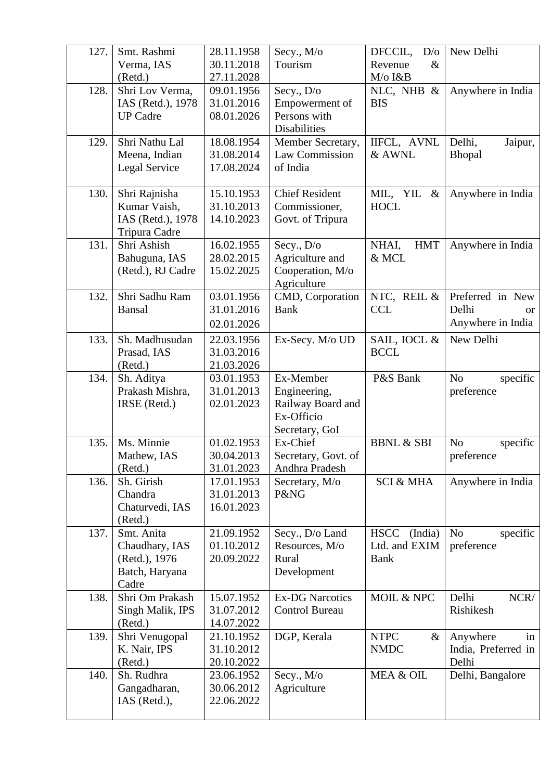| 127. | Smt. Rashmi       | 28.11.1958 | Secy., M/o             | DFCCIL,<br>D/O         | New Delhi                  |
|------|-------------------|------------|------------------------|------------------------|----------------------------|
|      | Verma, IAS        | 30.11.2018 | Tourism                | Revenue<br>$\&$        |                            |
|      | (Retd.)           | 27.11.2028 |                        | M/o I&B                |                            |
| 128. | Shri Lov Verma,   | 09.01.1956 | Secy., D/o             | NLC, NHB &             | Anywhere in India          |
|      | IAS (Retd.), 1978 | 31.01.2016 | Empowerment of         | <b>BIS</b>             |                            |
|      | <b>UP Cadre</b>   | 08.01.2026 | Persons with           |                        |                            |
|      |                   |            | Disabilities           |                        |                            |
| 129. | Shri Nathu Lal    | 18.08.1954 | Member Secretary,      | IIFCL, AVNL            | Delhi,<br>Jaipur,          |
|      | Meena, Indian     | 31.08.2014 | Law Commission         | & AWNL                 | <b>Bhopal</b>              |
|      | Legal Service     | 17.08.2024 | of India               |                        |                            |
|      |                   |            |                        |                        |                            |
| 130. | Shri Rajnisha     | 15.10.1953 | <b>Chief Resident</b>  | MIL, YIL &             | Anywhere in India          |
|      | Kumar Vaish,      | 31.10.2013 | Commissioner,          | <b>HOCL</b>            |                            |
|      | IAS (Retd.), 1978 | 14.10.2023 | Govt. of Tripura       |                        |                            |
|      | Tripura Cadre     |            |                        |                        |                            |
| 131. | Shri Ashish       | 16.02.1955 | Secy., D/o             | NHAI,<br><b>HMT</b>    | Anywhere in India          |
|      | Bahuguna, IAS     | 28.02.2015 | Agriculture and        | & MCL                  |                            |
|      | (Retd.), RJ Cadre | 15.02.2025 | Cooperation, M/o       |                        |                            |
|      |                   |            | Agriculture            |                        |                            |
| 132. | Shri Sadhu Ram    | 03.01.1956 | CMD, Corporation       | NTC, REIL &            | Preferred in New           |
|      | Bansal            | 31.01.2016 | <b>Bank</b>            | <b>CCL</b>             | Delhi<br><sub>or</sub>     |
|      |                   | 02.01.2026 |                        |                        | Anywhere in India          |
| 133. | Sh. Madhusudan    | 22.03.1956 | Ex-Secy. M/o UD        | SAIL, IOCL &           | New Delhi                  |
|      | Prasad, IAS       | 31.03.2016 |                        | <b>BCCL</b>            |                            |
|      | (Retd.)           | 21.03.2026 |                        |                        |                            |
| 134. | Sh. Aditya        | 03.01.1953 | Ex-Member              | P&S Bank               | N <sub>o</sub><br>specific |
|      | Prakash Mishra,   | 31.01.2013 | Engineering,           |                        | preference                 |
|      | IRSE (Retd.)      | 02.01.2023 | Railway Board and      |                        |                            |
|      |                   |            | Ex-Officio             |                        |                            |
|      |                   |            | Secretary, GoI         |                        |                            |
| 135. | Ms. Minnie        | 01.02.1953 | Ex-Chief               | <b>BBNL &amp; SBI</b>  | N <sub>o</sub><br>specific |
|      | Mathew, IAS       | 30.04.2013 | Secretary, Govt. of    |                        | preference                 |
|      | (Retd.)           | 31.01.2023 | Andhra Pradesh         |                        |                            |
| 136. | Sh. Girish        | 17.01.1953 | Secretary, M/o         | <b>SCI &amp; MHA</b>   | Anywhere in India          |
|      | Chandra           | 31.01.2013 | P&NG                   |                        |                            |
|      | Chaturvedi, IAS   | 16.01.2023 |                        |                        |                            |
|      | (Retd.)           |            |                        |                        |                            |
| 137. | Smt. Anita        | 21.09.1952 | Secy., D/o Land        | <b>HSCC</b><br>(India) | N <sub>o</sub><br>specific |
|      | Chaudhary, IAS    | 01.10.2012 | Resources, M/o         | Ltd. and EXIM          | preference                 |
|      | (Retd.), 1976     | 20.09.2022 | Rural                  | <b>Bank</b>            |                            |
|      | Batch, Haryana    |            | Development            |                        |                            |
|      | Cadre             |            |                        |                        |                            |
| 138. | Shri Om Prakash   | 15.07.1952 | <b>Ex-DG Narcotics</b> | MOIL & NPC             | Delhi<br>NCR/              |
|      | Singh Malik, IPS  | 31.07.2012 | <b>Control Bureau</b>  |                        | Rishikesh                  |
|      | (Retd.)           | 14.07.2022 |                        |                        |                            |
| 139. | Shri Venugopal    | 21.10.1952 | DGP, Kerala            | <b>NTPC</b><br>$\&$    | Anywhere<br>in             |
|      | K. Nair, IPS      | 31.10.2012 |                        | <b>NMDC</b>            | India, Preferred in        |
|      | (Retd.)           | 20.10.2022 |                        |                        | Delhi                      |
| 140. | Sh. Rudhra        | 23.06.1952 | Secy., M/o             | MEA & OIL              | Delhi, Bangalore           |
|      | Gangadharan,      | 30.06.2012 | Agriculture            |                        |                            |
|      | IAS (Retd.),      | 22.06.2022 |                        |                        |                            |
|      |                   |            |                        |                        |                            |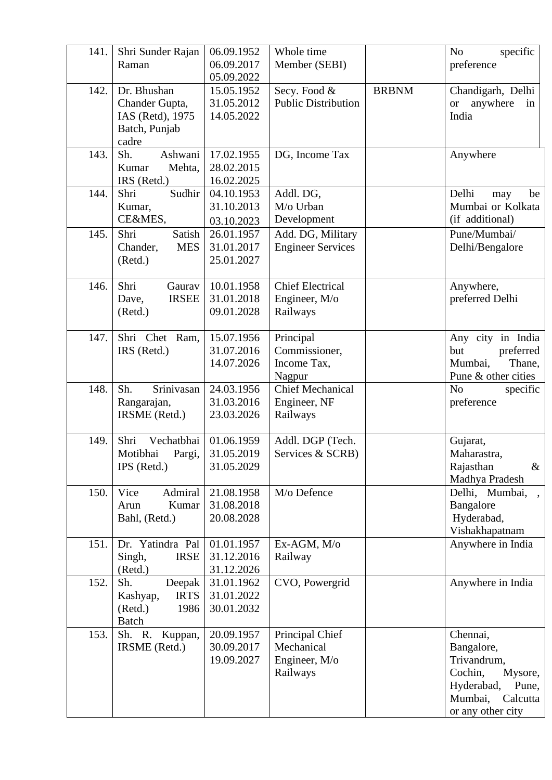| 141. | Shri Sunder Rajan                                                           | 06.09.1952                             | Whole time                                                 |              | N <sub>o</sub><br>specific                                                                                                     |
|------|-----------------------------------------------------------------------------|----------------------------------------|------------------------------------------------------------|--------------|--------------------------------------------------------------------------------------------------------------------------------|
|      | Raman                                                                       | 06.09.2017<br>05.09.2022               | Member (SEBI)                                              |              | preference                                                                                                                     |
| 142. | Dr. Bhushan<br>Chander Gupta,<br>IAS (Retd), 1975<br>Batch, Punjab<br>cadre | 15.05.1952<br>31.05.2012<br>14.05.2022 | Secy. Food &<br><b>Public Distribution</b>                 | <b>BRBNM</b> | Chandigarh, Delhi<br>anywhere<br><sub>or</sub><br>in<br>India                                                                  |
| 143. | Sh.<br>Ashwani<br>Kumar<br>Mehta,<br>IRS (Retd.)                            | 17.02.1955<br>28.02.2015<br>16.02.2025 | DG, Income Tax                                             |              | Anywhere                                                                                                                       |
| 144. | Sudhir<br>Shri<br>Kumar,<br>CE&MES,                                         | 04.10.1953<br>31.10.2013<br>03.10.2023 | Addl. DG,<br>M/o Urban<br>Development                      |              | Delhi<br>be<br>may<br>Mumbai or Kolkata<br>(if additional)                                                                     |
| 145. | Shri<br>Satish<br>Chander,<br><b>MES</b><br>(Retd.)                         | 26.01.1957<br>31.01.2017<br>25.01.2027 | Add. DG, Military<br><b>Engineer Services</b>              |              | Pune/Mumbai/<br>Delhi/Bengalore                                                                                                |
| 146. | Shri<br>Gaurav<br><b>IRSEE</b><br>Dave,<br>(Retd.)                          | 10.01.1958<br>31.01.2018<br>09.01.2028 | <b>Chief Electrical</b><br>Engineer, M/o<br>Railways       |              | Anywhere,<br>preferred Delhi                                                                                                   |
| 147. | Shri Chet Ram,<br>IRS (Retd.)                                               | 15.07.1956<br>31.07.2016<br>14.07.2026 | Principal<br>Commissioner,<br>Income Tax,<br>Nagpur        |              | Any city in India<br>preferred<br>but<br>Mumbai,<br>Thane,<br>Pune & other cities                                              |
| 148. | Sh.<br>Srinivasan<br>Rangarajan,<br>IRSME (Retd.)                           | 24.03.1956<br>31.03.2016<br>23.03.2026 | <b>Chief Mechanical</b><br>Engineer, NF<br>Railways        |              | N <sub>o</sub><br>specific<br>preference                                                                                       |
| 149. | Shri<br>Vechatbhai<br>Motibhai<br>Pargi,<br>IPS (Retd.)                     | 01.06.1959<br>31.05.2019<br>31.05.2029 | Addl. DGP (Tech.<br>Services & SCRB)                       |              | Gujarat,<br>Maharastra,<br>Rajasthan<br>$\&$<br>Madhya Pradesh                                                                 |
| 150. | Admiral<br>Vice<br>Kumar<br>Arun<br>Bahl, (Retd.)                           | 21.08.1958<br>31.08.2018<br>20.08.2028 | M/o Defence                                                |              | Delhi, Mumbai,<br>$\overline{\phantom{a}}$<br>Bangalore<br>Hyderabad,<br>Vishakhapatnam                                        |
| 151. | Dr. Yatindra Pal<br>Singh,<br><b>IRSE</b><br>(Retd.)                        | 01.01.1957<br>31.12.2016<br>31.12.2026 | Ex-AGM, M/o<br>Railway                                     |              | Anywhere in India                                                                                                              |
| 152. | Sh.<br>Deepak<br><b>IRTS</b><br>Kashyap,<br>1986<br>(Retd.)<br><b>Batch</b> | 31.01.1962<br>31.01.2022<br>30.01.2032 | CVO, Powergrid                                             |              | Anywhere in India                                                                                                              |
| 153. | Sh. R.<br>Kuppan,<br>IRSME (Retd.)                                          | 20.09.1957<br>30.09.2017<br>19.09.2027 | Principal Chief<br>Mechanical<br>Engineer, M/o<br>Railways |              | Chennai,<br>Bangalore,<br>Trivandrum,<br>Cochin,<br>Mysore,<br>Hyderabad,<br>Pune,<br>Mumbai,<br>Calcutta<br>or any other city |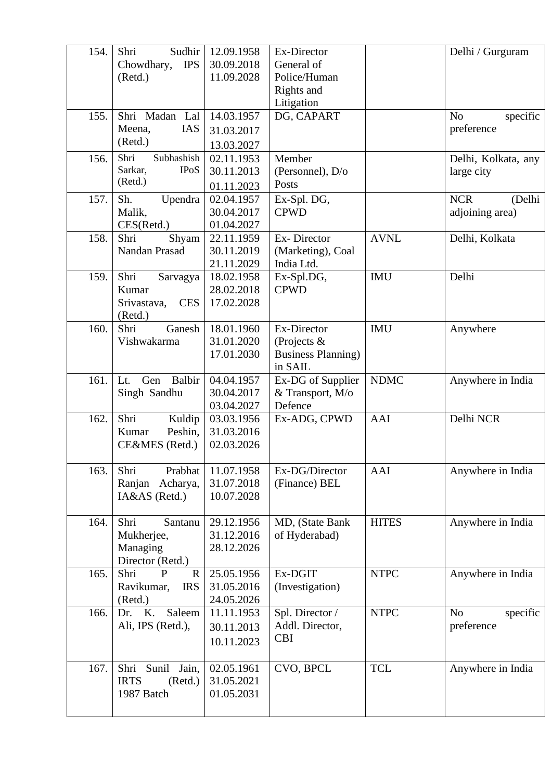| 154. | Shri<br>Sudhir<br><b>IPS</b><br>Chowdhary,<br>(Retd.)                       | 12.09.1958<br>30.09.2018<br>11.09.2028 | Ex-Director<br>General of<br>Police/Human<br>Rights and<br>Litigation |              | Delhi / Gurguram                         |
|------|-----------------------------------------------------------------------------|----------------------------------------|-----------------------------------------------------------------------|--------------|------------------------------------------|
| 155. | Shri Madan Lal<br>Meena,<br>IAS<br>(Retd.)                                  | 14.03.1957<br>31.03.2017<br>13.03.2027 | DG, CAPART                                                            |              | N <sub>o</sub><br>specific<br>preference |
| 156. | Shri<br>Subhashish<br>Sarkar,<br><b>IPoS</b><br>(Retd.)                     | 02.11.1953<br>30.11.2013<br>01.11.2023 | Member<br>(Personnel), $D/O$<br>Posts                                 |              | Delhi, Kolkata, any<br>large city        |
| 157. | Sh.<br>Upendra<br>Malik,<br>CES(Retd.)                                      | 02.04.1957<br>30.04.2017<br>01.04.2027 | Ex-Spl. DG,<br><b>CPWD</b>                                            |              | <b>NCR</b><br>(Delhi<br>adjoining area)  |
| 158. | Shri<br>Shyam<br>Nandan Prasad                                              | 22.11.1959<br>30.11.2019<br>21.11.2029 | Ex-Director<br>(Marketing), Coal<br>India Ltd.                        | <b>AVNL</b>  | Delhi, Kolkata                           |
| 159. | Shri<br>Sarvagya<br>Kumar<br><b>CES</b><br>Srivastava,<br>(Retd.)           | 18.02.1958<br>28.02.2018<br>17.02.2028 | Ex-Spl.DG,<br><b>CPWD</b>                                             | <b>IMU</b>   | Delhi                                    |
| 160. | Shri<br>Ganesh<br>Vishwakarma                                               | 18.01.1960<br>31.01.2020<br>17.01.2030 | Ex-Director<br>(Projects $\&$<br><b>Business Planning)</b><br>in SAIL | <b>IMU</b>   | Anywhere                                 |
| 161. | Balbir<br>Gen<br>Lt.<br>Singh Sandhu                                        | 04.04.1957<br>30.04.2017<br>03.04.2027 | Ex-DG of Supplier<br>& Transport, M/o<br>Defence                      | <b>NDMC</b>  | Anywhere in India                        |
| 162. | Shri<br>Kuldip<br>Peshin,<br>Kumar<br>CE&MES (Retd.)                        | 03.03.1956<br>31.03.2016<br>02.03.2026 | Ex-ADG, CPWD                                                          | AAI          | Delhi NCR                                |
| 163. | Shri<br>Prabhat<br>Ranjan<br>Acharya,<br>IA&AS (Retd.)                      | 11.07.1958<br>31.07.2018<br>10.07.2028 | Ex-DG/Director<br>(Finance) BEL                                       | AAI          | Anywhere in India                        |
| 164. | Shri<br>Santanu<br>Mukherjee,<br>Managing<br>Director (Retd.)               | 29.12.1956<br>31.12.2016<br>28.12.2026 | MD, (State Bank<br>of Hyderabad)                                      | <b>HITES</b> | Anywhere in India                        |
| 165. | Shri<br>$\mathbf{P}$<br>$\mathbb{R}$<br>Ravikumar,<br><b>IRS</b><br>(Retd.) | 25.05.1956<br>31.05.2016<br>24.05.2026 | Ex-DGIT<br>(Investigation)                                            | <b>NTPC</b>  | Anywhere in India                        |
| 166. | Saleem<br>Dr. K.<br>Ali, IPS (Retd.),                                       | 11.11.1953<br>30.11.2013<br>10.11.2023 | Spl. Director /<br>Addl. Director,<br><b>CBI</b>                      | <b>NTPC</b>  | N <sub>o</sub><br>specific<br>preference |
| 167. | Shri<br>Sunil<br>Jain,<br><b>IRTS</b><br>(Retd.)<br>1987 Batch              | 02.05.1961<br>31.05.2021<br>01.05.2031 | CVO, BPCL                                                             | <b>TCL</b>   | Anywhere in India                        |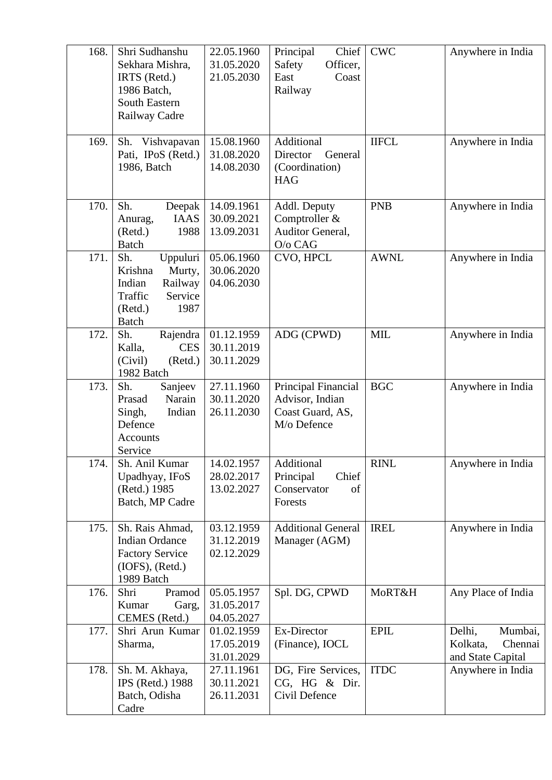| 168. | Shri Sudhanshu<br>Sekhara Mishra,<br>IRTS (Retd.)<br>1986 Batch,<br><b>South Eastern</b><br>Railway Cadre          | 22.05.1960<br>31.05.2020<br>21.05.2030 | Principal<br>Chief  <br>Safety<br>Officer,<br>East<br>Coast<br>Railway    | <b>CWC</b>   | Anywhere in India                                             |
|------|--------------------------------------------------------------------------------------------------------------------|----------------------------------------|---------------------------------------------------------------------------|--------------|---------------------------------------------------------------|
| 169. | Sh. Vishvapavan<br>Pati, IPoS (Retd.)<br>1986, Batch                                                               | 15.08.1960<br>31.08.2020<br>14.08.2030 | Additional<br>Director<br>General<br>(Coordination)<br><b>HAG</b>         | <b>IIFCL</b> | Anywhere in India                                             |
| 170. | Sh.<br>Deepak<br><b>IAAS</b><br>Anurag,<br>(Retd.)<br>1988<br><b>Batch</b>                                         | 14.09.1961<br>30.09.2021<br>13.09.2031 | Addl. Deputy<br>Comptroller &<br>Auditor General,<br>O/o CAG              | <b>PNB</b>   | Anywhere in India                                             |
| 171. | Sh.<br>Uppuluri<br>Krishna<br>Murty,<br>Indian<br>Railway<br>Traffic<br>Service<br>(Retd.)<br>1987<br><b>Batch</b> | 05.06.1960<br>30.06.2020<br>04.06.2030 | CVO, HPCL                                                                 | <b>AWNL</b>  | Anywhere in India                                             |
| 172. | Sh.<br>Rajendra<br><b>CES</b><br>Kalla,<br>(Civil)<br>(Retd.)<br>1982 Batch                                        | 01.12.1959<br>30.11.2019<br>30.11.2029 | ADG (CPWD)                                                                | <b>MIL</b>   | Anywhere in India                                             |
| 173. | Sanjeev<br>Sh.<br>Narain<br>Prasad<br>Singh,<br>Indian<br>Defence<br>Accounts<br>Service                           | 27.11.1960<br>30.11.2020<br>26.11.2030 | Principal Financial<br>Advisor, Indian<br>Coast Guard, AS,<br>M/o Defence | <b>BGC</b>   | Anywhere in India                                             |
| 174. | Sh. Anil Kumar<br>Upadhyay, IFoS<br>(Retd.) 1985<br>Batch, MP Cadre                                                | 14.02.1957<br>28.02.2017<br>13.02.2027 | Additional<br>Chief<br>Principal<br>Conservator<br>of<br>Forests          | <b>RINL</b>  | Anywhere in India                                             |
| 175. | Sh. Rais Ahmad,<br><b>Indian Ordance</b><br><b>Factory Service</b><br>$(IOFS)$ , $(Retd.)$<br>1989 Batch           | 03.12.1959<br>31.12.2019<br>02.12.2029 | <b>Additional General</b><br>Manager (AGM)                                | <b>IREL</b>  | Anywhere in India                                             |
| 176. | Shri<br>Pramod<br>Kumar<br>Garg,<br>CEMES (Retd.)                                                                  | 05.05.1957<br>31.05.2017<br>04.05.2027 | Spl. DG, CPWD                                                             | MoRT&H       | Any Place of India                                            |
| 177. | Shri Arun Kumar<br>Sharma,                                                                                         | 01.02.1959<br>17.05.2019<br>31.01.2029 | Ex-Director<br>(Finance), IOCL                                            | <b>EPIL</b>  | Delhi,<br>Mumbai,<br>Kolkata,<br>Chennai<br>and State Capital |
| 178. | Sh. M. Akhaya,<br>IPS (Retd.) 1988<br>Batch, Odisha<br>Cadre                                                       | 27.11.1961<br>30.11.2021<br>26.11.2031 | DG, Fire Services,<br>CG, HG & Dir.<br>Civil Defence                      | <b>ITDC</b>  | Anywhere in India                                             |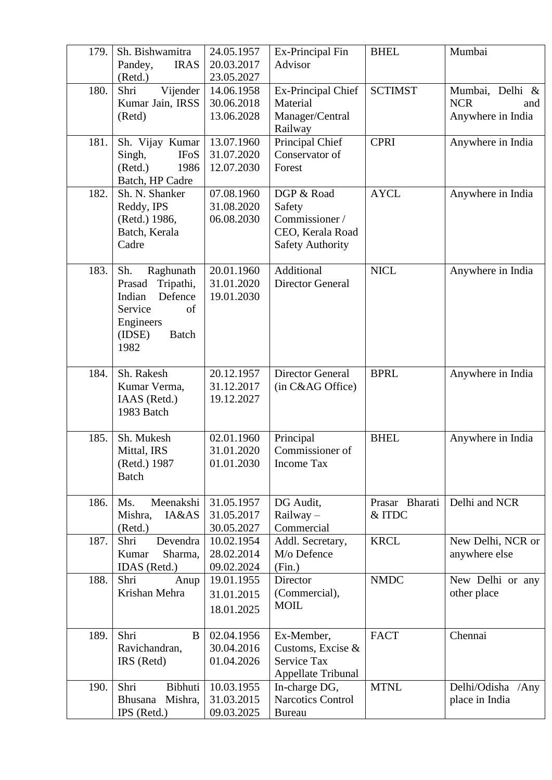| 179. | Sh. Bishwamitra<br><b>IRAS</b><br>Pandey,<br>(Retd.)                                                                         | 24.05.1957<br>20.03.2017<br>23.05.2027 | Ex-Principal Fin<br>Advisor                                                           | <b>BHEL</b>              | Mumbai                                                    |
|------|------------------------------------------------------------------------------------------------------------------------------|----------------------------------------|---------------------------------------------------------------------------------------|--------------------------|-----------------------------------------------------------|
| 180. | Shri<br>Vijender<br>Kumar Jain, IRSS<br>(Retd)                                                                               | 14.06.1958<br>30.06.2018<br>13.06.2028 | Ex-Principal Chief<br>Material<br>Manager/Central<br>Railway                          | <b>SCTIMST</b>           | Mumbai, Delhi &<br><b>NCR</b><br>and<br>Anywhere in India |
| 181. | Sh. Vijay Kumar<br>Singh,<br><b>IFoS</b><br>1986<br>(Retd.)<br>Batch, HP Cadre                                               | 13.07.1960<br>31.07.2020<br>12.07.2030 | Principal Chief<br>Conservator of<br>Forest                                           | <b>CPRI</b>              | Anywhere in India                                         |
| 182. | Sh. N. Shanker<br>Reddy, IPS<br>(Retd.) 1986,<br>Batch, Kerala<br>Cadre                                                      | 07.08.1960<br>31.08.2020<br>06.08.2030 | DGP & Road<br>Safety<br>Commissioner /<br>CEO, Kerala Road<br><b>Safety Authority</b> | <b>AYCL</b>              | Anywhere in India                                         |
| 183. | Sh.<br>Raghunath<br>Prasad<br>Tripathi,<br>Defence<br>Indian<br>of<br>Service<br>Engineers<br>(IDSE)<br><b>Batch</b><br>1982 | 20.01.1960<br>31.01.2020<br>19.01.2030 | Additional<br><b>Director General</b>                                                 | <b>NICL</b>              | Anywhere in India                                         |
| 184. | Sh. Rakesh<br>Kumar Verma,<br>IAAS (Retd.)<br>1983 Batch                                                                     | 20.12.1957<br>31.12.2017<br>19.12.2027 | <b>Director General</b><br>(in C&AG Office)                                           | <b>BPRL</b>              | Anywhere in India                                         |
| 185. | Sh. Mukesh<br>Mittal, IRS<br>(Retd.) 1987<br><b>Batch</b>                                                                    | 02.01.1960<br>31.01.2020<br>01.01.2030 | Principal<br>Commissioner of<br><b>Income Tax</b>                                     | <b>BHEL</b>              | Anywhere in India                                         |
| 186. | Meenakshi<br>Ms.<br>IA&AS<br>Mishra,<br>(Retd.)                                                                              | 31.05.1957<br>31.05.2017<br>30.05.2027 | DG Audit,<br>Railway -<br>Commercial                                                  | Prasar Bharati<br>& ITDC | Delhi and NCR                                             |
| 187. | Shri<br>Devendra<br>Sharma,<br>Kumar<br>IDAS (Retd.)                                                                         | 10.02.1954<br>28.02.2014<br>09.02.2024 | Addl. Secretary,<br>M/o Defence<br>(Fin.)                                             | <b>KRCL</b>              | New Delhi, NCR or<br>anywhere else                        |
| 188. | Shri<br>Anup<br>Krishan Mehra                                                                                                | 19.01.1955<br>31.01.2015<br>18.01.2025 | Director<br>(Commercial),<br><b>MOIL</b>                                              | <b>NMDC</b>              | New Delhi or any<br>other place                           |
| 189. | Shri<br>B<br>Ravichandran,<br>IRS (Retd)                                                                                     | 02.04.1956<br>30.04.2016<br>01.04.2026 | Ex-Member,<br>Customs, Excise &<br>Service Tax<br><b>Appellate Tribunal</b>           | <b>FACT</b>              | Chennai                                                   |
| 190. | Shri<br>Bibhuti<br>Mishra,<br>Bhusana<br>IPS (Retd.)                                                                         | 10.03.1955<br>31.03.2015<br>09.03.2025 | In-charge DG,<br><b>Narcotics Control</b><br><b>Bureau</b>                            | <b>MTNL</b>              | Delhi/Odisha /Any<br>place in India                       |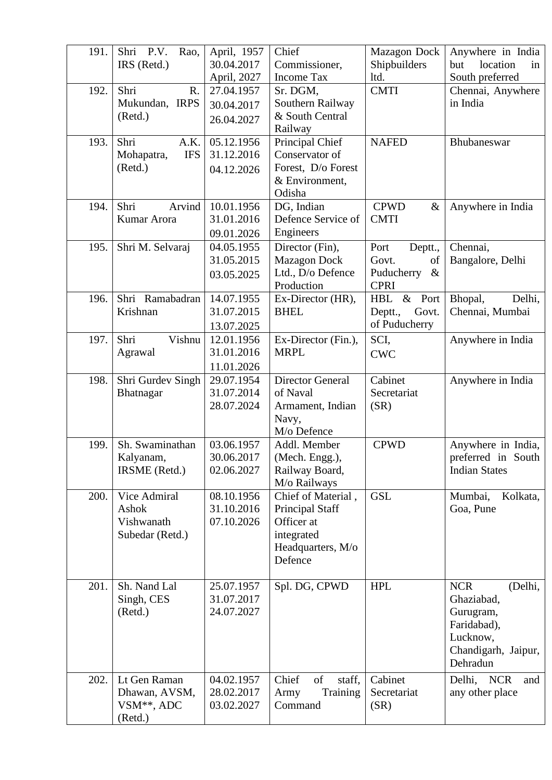| 191. | Shri<br><b>P.V.</b><br>Rao,<br>IRS (Retd.) | April, 1957<br>30.04.2017 | Chief<br>Commissioner,                       | <b>Mazagon Dock</b><br>Shipbuilders | Anywhere in India<br>location<br>but<br>in |
|------|--------------------------------------------|---------------------------|----------------------------------------------|-------------------------------------|--------------------------------------------|
|      |                                            | April, 2027               | <b>Income Tax</b>                            | ltd.                                | South preferred                            |
| 192. | Shri<br>R.                                 | 27.04.1957                | Sr. DGM,                                     | <b>CMTI</b>                         | Chennai, Anywhere                          |
|      | Mukundan, IRPS                             | 30.04.2017                | Southern Railway                             |                                     | in India                                   |
|      | (Retd.)                                    | 26.04.2027                | & South Central                              |                                     |                                            |
|      |                                            |                           | Railway                                      |                                     |                                            |
| 193. | Shri<br>A.K.                               | 05.12.1956                | Principal Chief                              | <b>NAFED</b>                        | Bhubaneswar                                |
|      | <b>IFS</b><br>Mohapatra,                   | 31.12.2016                | Conservator of                               |                                     |                                            |
|      | (Retd.)                                    | 04.12.2026                | Forest, D/o Forest                           |                                     |                                            |
|      |                                            |                           | & Environment,<br>Odisha                     |                                     |                                            |
| 194. | Shri<br>Arvind                             | 10.01.1956                | DG, Indian                                   | <b>CPWD</b><br>$\&$                 | Anywhere in India                          |
|      | Kumar Arora                                | 31.01.2016                | Defence Service of                           | <b>CMTI</b>                         |                                            |
|      |                                            | 09.01.2026                | Engineers                                    |                                     |                                            |
| 195. | Shri M. Selvaraj                           | 04.05.1955                | Director (Fin),                              | Port<br>Deptt.,                     | Chennai,                                   |
|      |                                            | 31.05.2015                | <b>Mazagon Dock</b>                          | of<br>Govt.                         | Bangalore, Delhi                           |
|      |                                            | 03.05.2025                | Ltd., D/o Defence                            | Puducherry<br>$\&$                  |                                            |
|      |                                            |                           | Production                                   | <b>CPRI</b>                         |                                            |
| 196. | Shri Ramabadran                            | 14.07.1955                | Ex-Director (HR),                            | & Port<br>HBL                       | Bhopal,<br>Delhi,                          |
|      | Krishnan                                   | 31.07.2015                | <b>BHEL</b>                                  | Deptt.,<br>Govt.                    | Chennai, Mumbai                            |
|      |                                            | 13.07.2025                |                                              | of Puducherry                       |                                            |
| 197. | Shri<br>Vishnu                             | 12.01.1956                | Ex-Director (Fin.),                          | SCI,                                | Anywhere in India                          |
|      | Agrawal                                    | 31.01.2016                | <b>MRPL</b>                                  | <b>CWC</b>                          |                                            |
|      |                                            | 11.01.2026                |                                              |                                     |                                            |
| 198. | Shri Gurdev Singh                          | 29.07.1954                | <b>Director General</b>                      | Cabinet                             | Anywhere in India                          |
|      | Bhatnagar                                  | 31.07.2014                | of Naval                                     | Secretariat                         |                                            |
|      |                                            | 28.07.2024                | Armament, Indian                             | (SR)                                |                                            |
|      |                                            |                           | Navy,                                        |                                     |                                            |
|      |                                            |                           | M/o Defence                                  |                                     |                                            |
| 199. | Sh. Swaminathan                            | 03.06.1957                | Addl. Member                                 | <b>CPWD</b>                         | Anywhere in India,                         |
|      | Kalyanam,                                  | 30.06.2017                | (Mech. Engg.),                               |                                     | preferred in South                         |
|      | IRSME (Retd.)                              | 02.06.2027                | Railway Board,                               |                                     | <b>Indian States</b>                       |
|      | Vice Admiral                               |                           | M/o Railways                                 | <b>GSL</b>                          |                                            |
| 200. | Ashok                                      | 08.10.1956<br>31.10.2016  | Chief of Material,<br><b>Principal Staff</b> |                                     | Mumbai,<br>Kolkata,<br>Goa, Pune           |
|      | Vishwanath                                 | 07.10.2026                | Officer at                                   |                                     |                                            |
|      | Subedar (Retd.)                            |                           | integrated                                   |                                     |                                            |
|      |                                            |                           | Headquarters, M/o                            |                                     |                                            |
|      |                                            |                           | Defence                                      |                                     |                                            |
|      |                                            |                           |                                              |                                     |                                            |
| 201. | Sh. Nand Lal                               | 25.07.1957                | Spl. DG, CPWD                                | <b>HPL</b>                          | <b>NCR</b><br>(Delhi,                      |
|      | Singh, CES                                 | 31.07.2017                |                                              |                                     | Ghaziabad,                                 |
|      | (Retd.)                                    | 24.07.2027                |                                              |                                     | Gurugram,                                  |
|      |                                            |                           |                                              |                                     | Faridabad),                                |
|      |                                            |                           |                                              |                                     | Lucknow,                                   |
|      |                                            |                           |                                              |                                     | Chandigarh, Jaipur,                        |
|      |                                            |                           |                                              |                                     | Dehradun                                   |
| 202. | Lt Gen Raman                               | 04.02.1957                | Chief<br>of<br>staff,                        | Cabinet                             | Delhi,<br><b>NCR</b><br>and                |
|      | Dhawan, AVSM,                              | 28.02.2017                | Army<br>Training                             | Secretariat                         | any other place                            |
|      | VSM <sup>**</sup> , ADC                    | 03.02.2027                | Command                                      | (SR)                                |                                            |
|      | (Retd.)                                    |                           |                                              |                                     |                                            |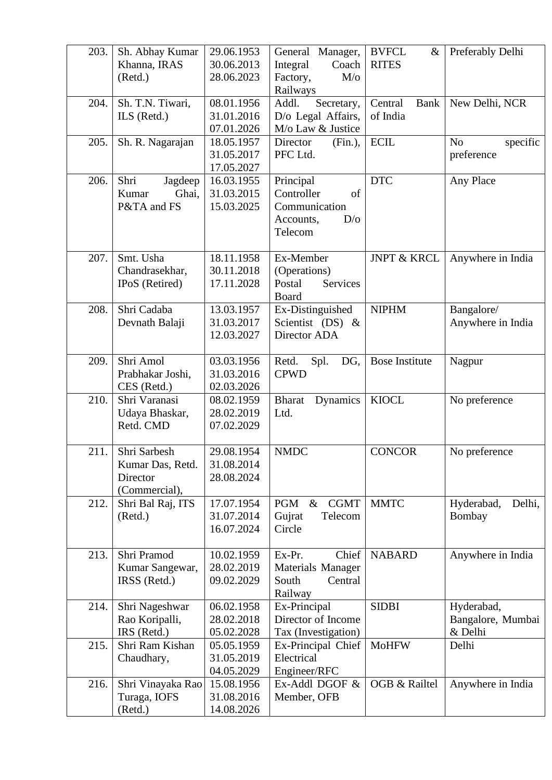| 203. | Sh. Abhay Kumar<br>Khanna, IRAS<br>(Retd.)                    | 29.06.1953<br>30.06.2013<br>28.06.2023 | General Manager,<br>Integral<br>Coach<br>Factory,<br>$M$ /o<br>Railways       | <b>BVFCL</b><br>$\&$<br><b>RITES</b> | Preferably Delhi                           |
|------|---------------------------------------------------------------|----------------------------------------|-------------------------------------------------------------------------------|--------------------------------------|--------------------------------------------|
| 204. | Sh. T.N. Tiwari,<br>ILS (Retd.)                               | 08.01.1956<br>31.01.2016<br>07.01.2026 | Addl.<br>Secretary,<br>D/o Legal Affairs,<br>M/o Law & Justice                | Central<br>Bank<br>of India          | New Delhi, NCR                             |
| 205. | Sh. R. Nagarajan                                              | 18.05.1957<br>31.05.2017<br>17.05.2027 | Director<br>(Fin.)<br>PFC Ltd.                                                | <b>ECIL</b>                          | N <sub>o</sub><br>specific<br>preference   |
| 206. | Shri<br>Jagdeep<br>Ghai,<br>Kumar<br>P&TA and FS              | 16.03.1955<br>31.03.2015<br>15.03.2025 | Principal<br>Controller<br>of<br>Communication<br>Accounts,<br>D/O<br>Telecom | <b>DTC</b>                           | Any Place                                  |
| 207. | Smt. Usha<br>Chandrasekhar,<br>IPoS (Retired)                 | 18.11.1958<br>30.11.2018<br>17.11.2028 | Ex-Member<br>(Operations)<br>Postal<br><b>Services</b><br>Board               | <b>JNPT &amp; KRCL</b>               | Anywhere in India                          |
| 208. | Shri Cadaba<br>Devnath Balaji                                 | 13.03.1957<br>31.03.2017<br>12.03.2027 | Ex-Distinguished<br>Scientist (DS) &<br>Director ADA                          | <b>NIPHM</b>                         | Bangalore/<br>Anywhere in India            |
| 209. | Shri Amol<br>Prabhakar Joshi,<br>CES (Retd.)                  | 03.03.1956<br>31.03.2016<br>02.03.2026 | Retd.<br>Spl.<br>DG,<br><b>CPWD</b>                                           | <b>Bose Institute</b>                | Nagpur                                     |
| 210. | Shri Varanasi<br>Udaya Bhaskar,<br>Retd. CMD                  | 08.02.1959<br>28.02.2019<br>07.02.2029 | <b>Bharat</b><br>Dynamics<br>Ltd.                                             | <b>KIOCL</b>                         | No preference                              |
| 211. | Shri Sarbesh<br>Kumar Das, Retd.<br>Director<br>(Commercial), | 29.08.1954<br>31.08.2014<br>28.08.2024 | <b>NMDC</b>                                                                   | <b>CONCOR</b>                        | No preference                              |
| 212. | Shri Bal Raj, ITS<br>(Retd.)                                  | 17.07.1954<br>31.07.2014<br>16.07.2024 | <b>CGMT</b><br><b>PGM</b><br>$\&$<br>Gujrat<br>Telecom<br>Circle              | <b>MMTC</b>                          | Hyderabad,<br>Delhi,<br>Bombay             |
| 213. | Shri Pramod<br>Kumar Sangewar,<br>IRSS (Retd.)                | 10.02.1959<br>28.02.2019<br>09.02.2029 | Ex-Pr.<br>Chief<br>Materials Manager<br>Central<br>South<br>Railway           | <b>NABARD</b>                        | Anywhere in India                          |
| 214. | Shri Nageshwar<br>Rao Koripalli,<br>IRS (Retd.)               | 06.02.1958<br>28.02.2018<br>05.02.2028 | Ex-Principal<br>Director of Income<br>Tax (Investigation)                     | <b>SIDBI</b>                         | Hyderabad,<br>Bangalore, Mumbai<br>& Delhi |
| 215. | Shri Ram Kishan<br>Chaudhary,                                 | 05.05.1959<br>31.05.2019<br>04.05.2029 | Ex-Principal Chief<br>Electrical<br>Engineer/RFC                              | <b>MoHFW</b>                         | Delhi                                      |
| 216. | Shri Vinayaka Rao<br>Turaga, IOFS<br>(Retd.)                  | 15.08.1956<br>31.08.2016<br>14.08.2026 | Ex-Addl DGOF &<br>Member, OFB                                                 | OGB & Railtel                        | Anywhere in India                          |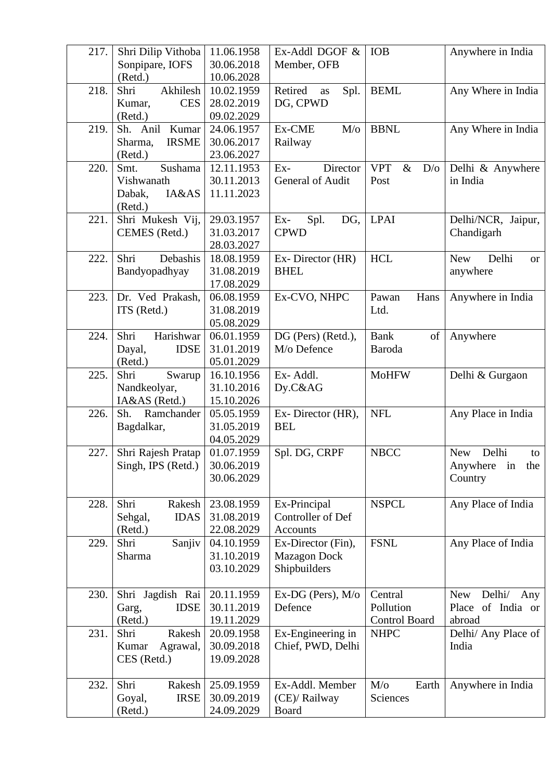| 217. | Shri Dilip Vithoba      | 11.06.1958 | Ex-Addl DGOF &       | <b>IOB</b>                | Anywhere in India                    |
|------|-------------------------|------------|----------------------|---------------------------|--------------------------------------|
|      | Sonpipare, IOFS         | 30.06.2018 | Member, OFB          |                           |                                      |
|      | (Retd.)                 | 10.06.2028 |                      |                           |                                      |
| 218. | Akhilesh<br>Shri        | 10.02.1959 | Retired<br>Spl.      | <b>BEML</b>               | Any Where in India                   |
|      | <b>CES</b>              | 28.02.2019 | as                   |                           |                                      |
|      | Kumar,                  |            | DG, CPWD             |                           |                                      |
|      | (Retd.)                 | 09.02.2029 |                      |                           |                                      |
| 219. | Kumar<br>Sh. Anil       | 24.06.1957 | Ex-CME<br>$M$ /o     | <b>BBNL</b>               | Any Where in India                   |
|      | <b>IRSME</b><br>Sharma, | 30.06.2017 | Railway              |                           |                                      |
|      | (Retd.)                 | 23.06.2027 |                      |                           |                                      |
| 220. | Smt.<br>Sushama         | 12.11.1953 | Director<br>$Ex-$    | <b>VPT</b><br>$\&$<br>D/O | Delhi & Anywhere                     |
|      | Vishwanath              | 30.11.2013 | General of Audit     | Post                      | in India                             |
|      | IA&AS<br>Dabak,         | 11.11.2023 |                      |                           |                                      |
|      | (Retd.)                 |            |                      |                           |                                      |
| 221. | Shri Mukesh Vij,        | 29.03.1957 | Spl.<br>DG,<br>$Ex-$ | <b>LPAI</b>               | Delhi/NCR, Jaipur,                   |
|      | CEMES (Retd.)           | 31.03.2017 | <b>CPWD</b>          |                           | Chandigarh                           |
|      |                         | 28.03.2027 |                      |                           |                                      |
| 222. | Shri<br>Debashis        | 18.08.1959 | Ex-Director (HR)     | <b>HCL</b>                | Delhi<br><b>New</b><br><sub>or</sub> |
|      | Bandyopadhyay           | 31.08.2019 | <b>BHEL</b>          |                           | anywhere                             |
|      |                         | 17.08.2029 |                      |                           |                                      |
| 223. | Dr. Ved Prakash,        | 06.08.1959 | Ex-CVO, NHPC         | Pawan<br>Hans             | Anywhere in India                    |
|      | ITS (Retd.)             | 31.08.2019 |                      | Ltd.                      |                                      |
|      |                         | 05.08.2029 |                      |                           |                                      |
| 224. | Harishwar<br>Shri       | 06.01.1959 | DG (Pers) (Retd.),   | <b>Bank</b><br>of         | Anywhere                             |
|      | <b>IDSE</b><br>Dayal,   | 31.01.2019 | M/o Defence          | Baroda                    |                                      |
|      | (Retd.)                 | 05.01.2029 |                      |                           |                                      |
| 225. | Shri<br>Swarup          | 16.10.1956 | Ex-Addl.             | <b>MoHFW</b>              | Delhi & Gurgaon                      |
|      | Nandkeolyar,            | 31.10.2016 | Dy.C&AG              |                           |                                      |
|      |                         | 15.10.2026 |                      |                           |                                      |
|      | IA&AS (Retd.)           |            |                      |                           |                                      |
| 226. | Sh. Ramchander          | 05.05.1959 | Ex-Director (HR),    | <b>NFL</b>                | Any Place in India                   |
|      | Bagdalkar,              | 31.05.2019 | <b>BEL</b>           |                           |                                      |
|      |                         | 04.05.2029 |                      |                           |                                      |
| 227. | Shri Rajesh Pratap      | 01.07.1959 | Spl. DG, CRPF        | <b>NBCC</b>               | Delhi<br><b>New</b><br>to            |
|      | Singh, IPS (Retd.)      | 30.06.2019 |                      |                           | Anywhere<br>in<br>the                |
|      |                         | 30.06.2029 |                      |                           | Country                              |
|      |                         |            |                      |                           |                                      |
| 228. | Shri<br>Rakesh          | 23.08.1959 | Ex-Principal         | <b>NSPCL</b>              | Any Place of India                   |
|      | <b>IDAS</b><br>Sehgal,  | 31.08.2019 | Controller of Def    |                           |                                      |
|      | (Retd.)                 | 22.08.2029 | Accounts             |                           |                                      |
| 229. | Shri<br>Sanjiv          | 04.10.1959 | Ex-Director (Fin),   | <b>FSNL</b>               | Any Place of India                   |
|      | Sharma                  | 31.10.2019 | <b>Mazagon Dock</b>  |                           |                                      |
|      |                         | 03.10.2029 | Shipbuilders         |                           |                                      |
|      |                         |            |                      |                           |                                      |
| 230. | Shri Jagdish Rai        | 20.11.1959 | Ex-DG (Pers), M/o    | Central                   | Delhi/<br><b>New</b><br>Any          |
|      | <b>IDSE</b><br>Garg,    | 30.11.2019 | Defence              | Pollution                 | Place of India or                    |
|      | (Retd.)                 | 19.11.2029 |                      | <b>Control Board</b>      | abroad                               |
| 231. | Shri<br>Rakesh          | 20.09.1958 | Ex-Engineering in    | <b>NHPC</b>               | Delhi/ Any Place of                  |
|      | Agrawal,<br>Kumar       | 30.09.2018 | Chief, PWD, Delhi    |                           | India                                |
|      | CES (Retd.)             | 19.09.2028 |                      |                           |                                      |
|      |                         |            |                      |                           |                                      |
| 232. | Shri<br>Rakesh          | 25.09.1959 | Ex-Addl. Member      | $M$ /o<br>Earth           | Anywhere in India                    |
|      | <b>IRSE</b><br>Goyal,   | 30.09.2019 | (CE)/ Railway        | Sciences                  |                                      |
|      | (Retd.)                 | 24.09.2029 | <b>Board</b>         |                           |                                      |
|      |                         |            |                      |                           |                                      |